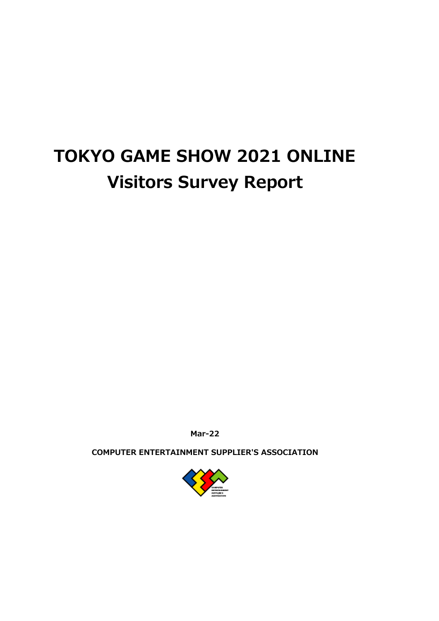# **TOKYO GAME SHOW 2021 ONLINE Visitors Survey Report**

**Mar-22**

**COMPUTER ENTERTAINMENT SUPPLIER'S ASSOCIATION**

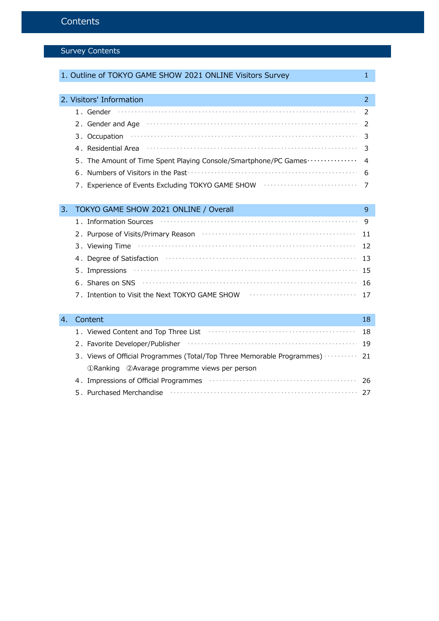# Survey Contents

|    | 1. Outline of TOKYO GAME SHOW 2021 ONLINE Visitors Survey                                                                                                                                                                           | 1  |
|----|-------------------------------------------------------------------------------------------------------------------------------------------------------------------------------------------------------------------------------------|----|
|    |                                                                                                                                                                                                                                     |    |
|    | 2. Visitors' Information                                                                                                                                                                                                            | 2  |
|    | 1. Gender                                                                                                                                                                                                                           | 2  |
|    | 2. Gender and Age <b>construction</b> and contact the contract of the contract of the contract of the contract of the contract of the contract of the contract of the contract of the contract of the contract of the contract of t | 2  |
|    |                                                                                                                                                                                                                                     | 3  |
|    |                                                                                                                                                                                                                                     | 3  |
|    | 5. The Amount of Time Spent Playing Console/Smartphone/PC Games ···············                                                                                                                                                     | 4  |
|    |                                                                                                                                                                                                                                     | 6  |
|    | 7. Experience of Events Excluding TOKYO GAME SHOW <b>With CONSTANDING</b>                                                                                                                                                           | 7  |
|    |                                                                                                                                                                                                                                     |    |
| 3. | TOKYO GAME SHOW 2021 ONLINE / Overall                                                                                                                                                                                               | 9  |
|    | 1. Information Sources                                                                                                                                                                                                              | 9  |
|    |                                                                                                                                                                                                                                     | 11 |
|    | 3. Viewing Time                                                                                                                                                                                                                     | 12 |
|    | 4. Degree of Satisfaction contract to the contract of the Satisfaction of the contract of the Degree of Satisfaction                                                                                                                | 13 |
|    | 5. Impressions                                                                                                                                                                                                                      | 15 |
|    | 6. Shares on SNS <b>continuous</b> continuous continuous continuous continuous continuous continuous continuous continuous                                                                                                          | 16 |
|    | 7. Intention to Visit the Next TOKYO GAME SHOW <b>CONCLUMENT CONVIDENT</b>                                                                                                                                                          | 17 |
|    |                                                                                                                                                                                                                                     |    |
| 4. | Content                                                                                                                                                                                                                             | 18 |
|    |                                                                                                                                                                                                                                     | 18 |
|    | 2. Favorite Developer/Publisher                                                                                                                                                                                                     | 19 |
|    | 3. Views of Official Programmes (Total/Top Three Memorable Programmes)                                                                                                                                                              | 21 |
|    | 1) Ranking 2) Avarage programme views per person                                                                                                                                                                                    |    |
|    | 4. Impressions of Official Programmes <b>constructs</b> and a substantial programmes and a substantial programmes and a substantial programmes and a substantial programmes and a substantial programmes are substantial programmes | 26 |
|    |                                                                                                                                                                                                                                     | 27 |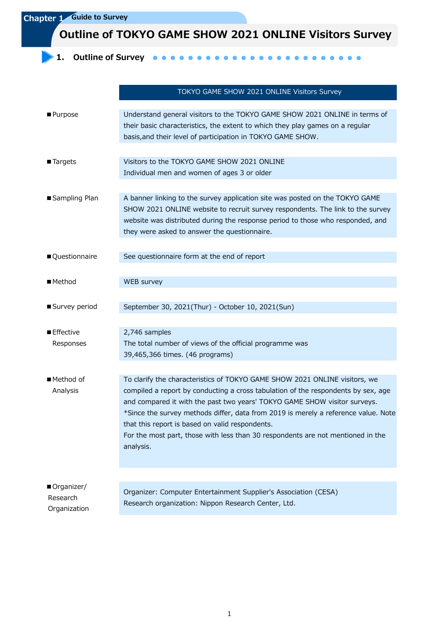**Chapter 1 Guide to Survey**

**Outline of TOKYO GAME SHOW 2021 ONLINE Visitors Survey**

**1.** Outline of Survey **and a 1**  $\bullet$  $\bullet\bullet\bullet\bullet$  $\bullet$  $\bullet\bullet\bullet\bullet$  $\bullet$  $\bullet$  $\blacksquare$  $\blacksquare$  $\bullet$  $\bullet$ 

|                                        | TOKYO GAME SHOW 2021 ONLINE Visitors Survey                                                                                                                                                                                                                                                                                                                                                                                                                                           |
|----------------------------------------|---------------------------------------------------------------------------------------------------------------------------------------------------------------------------------------------------------------------------------------------------------------------------------------------------------------------------------------------------------------------------------------------------------------------------------------------------------------------------------------|
| ■ Purpose                              | Understand general visitors to the TOKYO GAME SHOW 2021 ONLINE in terms of<br>their basic characteristics, the extent to which they play games on a regular<br>basis, and their level of participation in TOKYO GAME SHOW.                                                                                                                                                                                                                                                            |
| ■ Targets                              | Visitors to the TOKYO GAME SHOW 2021 ONLINE<br>Individual men and women of ages 3 or older                                                                                                                                                                                                                                                                                                                                                                                            |
| ■ Sampling Plan                        | A banner linking to the survey application site was posted on the TOKYO GAME<br>SHOW 2021 ONLINE website to recruit survey respondents. The link to the survey<br>website was distributed during the response period to those who responded, and<br>they were asked to answer the questionnaire.                                                                                                                                                                                      |
| Questionnaire                          | See questionnaire form at the end of report                                                                                                                                                                                                                                                                                                                                                                                                                                           |
| ■ Method                               | WEB survey                                                                                                                                                                                                                                                                                                                                                                                                                                                                            |
| ■ Survey period                        | September 30, 2021(Thur) - October 10, 2021(Sun)                                                                                                                                                                                                                                                                                                                                                                                                                                      |
| ■ Effective<br>Responses               | 2,746 samples<br>The total number of views of the official programme was<br>39,465,366 times. (46 programs)                                                                                                                                                                                                                                                                                                                                                                           |
| ■ Method of<br>Analysis                | To clarify the characteristics of TOKYO GAME SHOW 2021 ONLINE visitors, we<br>compiled a report by conducting a cross tabulation of the respondents by sex, age<br>and compared it with the past two years' TOKYO GAME SHOW visitor surveys.<br>*Since the survey methods differ, data from 2019 is merely a reference value. Note<br>that this report is based on valid respondents.<br>For the most part, those with less than 30 respondents are not mentioned in the<br>analysis. |
| Organizer/<br>Research<br>Organization | Organizer: Computer Entertainment Supplier's Association (CESA)<br>Research organization: Nippon Research Center, Ltd.                                                                                                                                                                                                                                                                                                                                                                |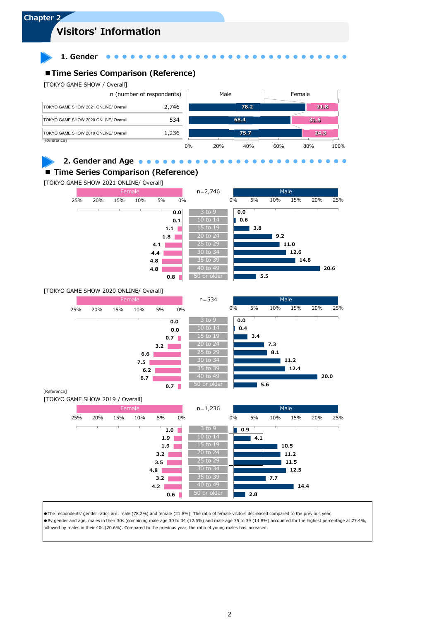

●The respondents' gender ratios are: male (78.2%) and female (21.8%). The ratio of female visitors decreased compared to the previous year. ●By gender and age, males in their 30s (combining male age 30 to 34 (12.6%) and male age 35 to 39 (14.8%) accounted for the highest percentage at 27.4%, followed by males in their 40s (20.6%). Compared to the previous year, the ratio of young males has increased.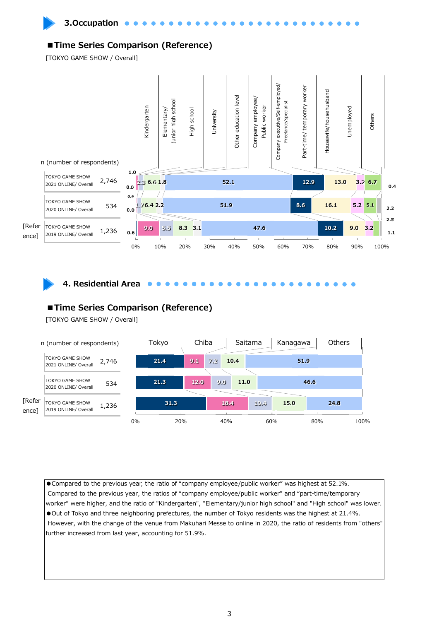

**3.Occupation** 

## **■Time Series Comparison (Reference)**

[TOKYO GAME SHOW / Overall]





**4. Residential Area**

## **■Time Series Comparison (Reference)**

[TOKYO GAME SHOW / Overall]



●Compared to the previous year, the ratio of "company employee/public worker" was highest at 52.1%. Compared to the previous year, the ratios of "company employee/public worker" and "part-time/temporary worker" were higher, and the ratio of "Kindergarten", "Elementary/junior high school" and "High school" was lower. ●Out of Tokyo and three neighboring prefectures, the number of Tokyo residents was the highest at 21.4%. However, with the change of the venue from Makuhari Messe to online in 2020, the ratio of residents from "others" further increased from last year, accounting for 51.9%.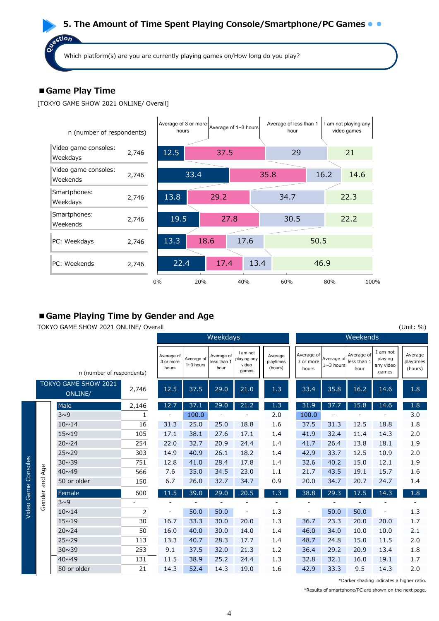# **5. The Amount of Time Spent Playing Console/Smartphone/PC Games**

Which platform(s) are you are currently playing games on/How long do you play?

# **■Game Play Time**

estion

 $\tilde{\mathbf{o}}$ 

[TOKYO GAME SHOW 2021 ONLINE/ Overall]



# **■Game Playing Time by Gender and Age**

TOKYO GAME SHOW 2021 ONLINE/ Overall (Unit: %)

|          |             |                                 |       |                                  |                             | Weekdays                          |                                           |                                 | Weekends                         |                           |                                   |                                           |                                 |  |
|----------|-------------|---------------------------------|-------|----------------------------------|-----------------------------|-----------------------------------|-------------------------------------------|---------------------------------|----------------------------------|---------------------------|-----------------------------------|-------------------------------------------|---------------------------------|--|
|          |             | n (number of respondents)       |       | Average of<br>3 or more<br>hours | Average of<br>$1 - 3$ hours | Average of<br>less than 1<br>hour | I am not<br>playing any<br>video<br>games | Average<br>playtimes<br>(hours) | Average of<br>3 or more<br>hours | Average of<br>$1~3$ hours | Average of<br>less than 1<br>hour | I am not<br>playing<br>any video<br>games | Average<br>playtimes<br>(hours) |  |
|          |             | TOKYO GAME SHOW 2021<br>ONLINE/ | 2,746 | 12.5                             | 37.5                        | 29.0                              | 21.0                                      | 1.3                             | 33.4                             | 35.8                      | 16.2                              | 14.6                                      | 1.8                             |  |
|          |             | Male                            | 2,146 | 12.7                             | 37.1                        | 29.0                              | 21.2                                      | 1.3                             | 31.9                             | 37.7                      | 15.8                              | 14.6                                      | 1.8                             |  |
|          |             | $3^0$                           | 1     |                                  | 100.0                       |                                   |                                           | 2.0                             | 100.0                            |                           |                                   |                                           | 3.0                             |  |
|          |             | $10 \sim 14$                    | 16    | 31.3                             | 25.0                        | 25.0                              | 18.8                                      | 1.6                             | 37.5                             | 31.3                      | 12.5                              | 18.8                                      | 1.8                             |  |
|          |             | $15 \sim 19$                    | 105   | 17.1                             | 38.1                        | 27.6                              | 17.1                                      | 1.4                             | 41.9                             | 32.4                      | 11.4                              | 14.3                                      | 2.0                             |  |
|          |             | $20 \times 24$                  | 254   | 22.0                             | 32.7                        | 20.9                              | 24.4                                      | 1.4                             | 41.7                             | 26.4                      | 13.8                              | 18.1                                      | 1.9                             |  |
|          |             | $25 \sim 29$                    | 303   | 14.9                             | 40.9                        | 26.1                              | 18.2                                      | 1.4                             | 42.9                             | 33.7                      | 12.5                              | 10.9                                      | 2.0                             |  |
| Consoles | $\mathbb O$ | $30 \sim 39$                    | 751   | 12.8                             | 41.0                        | 28.4                              | 17.8                                      | 1.4                             | 32.6                             | 40.2                      | 15.0                              | 12.1                                      | 1.9                             |  |
|          | Ř           | $40 \times 49$                  | 566   | 7.6                              | 35.0                        | 34.5                              | 23.0                                      | 1.1                             | 21.7                             | 43.5                      | 19.1                              | 15.7                                      | 1.6                             |  |
|          | pue         | 50 or older                     | 150   | 6.7                              | 26.0                        | 32.7                              | 34.7                                      | 0.9                             | 20.0                             | 34.7                      | 20.7                              | 24.7                                      | 1.4                             |  |
| Game     |             | Female                          | 600   | 11.5                             | 39.0                        | 29.0                              | 20.5                                      | 1.3                             | 38.8                             | 29.3                      | 17.5                              | 14.3                                      | 1.8                             |  |
|          | Gender      | $3^0$                           |       |                                  |                             |                                   |                                           |                                 |                                  |                           |                                   |                                           |                                 |  |
| Video    |             | $10 \sim 14$                    | 2     |                                  | 50.0                        | 50.0                              |                                           | 1.3                             | -                                | 50.0                      | 50.0                              |                                           | 1.3                             |  |
|          |             | $15 \sim 19$                    | 30    | 16.7                             | 33.3                        | 30.0                              | 20.0                                      | 1.3                             | 36.7                             | 23.3                      | 20.0                              | 20.0                                      | 1.7                             |  |
|          |             | $20 \times 24$                  | 50    | 16.0                             | 40.0                        | 30.0                              | 14.0                                      | 1.4                             | 46.0                             | 34.0                      | 10.0                              | 10.0                                      | 2.1                             |  |
|          |             | $25 \sim 29$                    | 113   | 13.3                             | 40.7                        | 28.3                              | 17.7                                      | 1.4                             | 48.7                             | 24.8                      | 15.0                              | 11.5                                      | 2.0                             |  |
|          |             | $30 \sim 39$                    | 253   | 9.1                              | 37.5                        | 32.0                              | 21.3                                      | 1.2                             | 36.4                             | 29.2                      | 20.9                              | 13.4                                      | 1.8                             |  |
|          |             | $40 \times 49$                  | 131   | 11.5                             | 38.9                        | 25.2                              | 24.4                                      | 1.3                             | 32.8                             | 32.1                      | 16.0                              | 19.1                                      | 1.7                             |  |
|          |             | 50 or older                     | 21    | 14.3                             | 52.4                        | 14.3                              | 19.0                                      | 1.6                             | 42.9                             | 33.3                      | 9.5                               | 14.3                                      | 2.0                             |  |

\*Darker shading indicates a higher ratio.

\*Results of smartphone/PC are shown on the next page.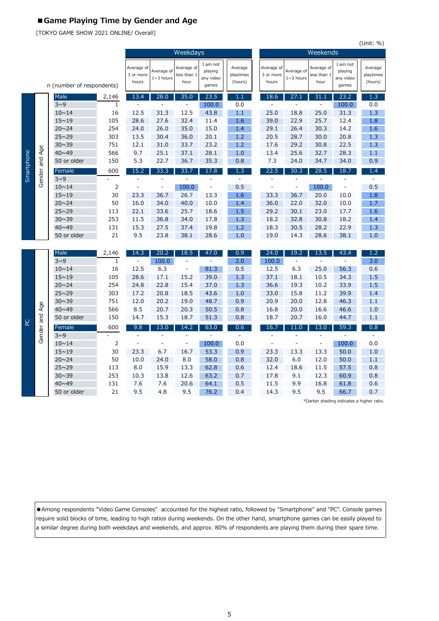# **■Game Playing Time by Gender and Age**

[TOKYO GAME SHOW 2021 ONLINE/ Overall]

|            |                |                             |                       |                                  |                           |                                   |                                           |                                 |                                  |                           |                                   |                                           | (Unit: %)                       |  |  |
|------------|----------------|-----------------------------|-----------------------|----------------------------------|---------------------------|-----------------------------------|-------------------------------------------|---------------------------------|----------------------------------|---------------------------|-----------------------------------|-------------------------------------------|---------------------------------|--|--|
|            |                |                             |                       |                                  |                           | Weekdays                          |                                           |                                 | Weekends                         |                           |                                   |                                           |                                 |  |  |
|            |                | n (number of respondents)   |                       | Average of<br>3 or more<br>hours | Average of<br>$1~3$ hours | Average of<br>less than 1<br>hour | I am not<br>playing<br>any video<br>games | Average<br>playtimes<br>(hours) | Average of<br>3 or more<br>hours | Average of<br>$1~3$ hours | Average of<br>less than 1<br>hour | I am not<br>playing<br>any video<br>games | Average<br>playtimes<br>(hours) |  |  |
|            |                | Male                        | 2,146                 | 13.4                             | 28.0                      | 35.0                              | 23.5                                      | 1.1                             | 18.6                             | 27.1                      | 31.1                              | 23.2                                      | 1.3                             |  |  |
|            |                | 3~0                         | $\mathbf{1}$          |                                  |                           |                                   | 100.0                                     | 0.0                             |                                  | $\overline{a}$            |                                   | 100.0                                     | 0.0                             |  |  |
|            |                | $10 \sim 14$                | 16                    | 12.5                             | 31.3                      | 12.5                              | 43.8                                      | 1.1                             | 25.0                             | 18.8                      | 25.0                              | 31.3                                      | 1.3                             |  |  |
|            |                | $15 - 19$                   | 105                   | 28.6                             | 27.6                      | 32.4                              | 11.4                                      | 1.6                             | 39.0                             | 22.9                      | 25.7                              | 12.4                                      | 1.8                             |  |  |
|            |                | $20 \sim 24$                | 254                   | 24.0                             | 26.0                      | 35.0                              | 15.0                                      | 1.4                             | 29.1                             | 26.4                      | 30.3                              | 14.2                                      | 1.6                             |  |  |
|            |                | $25 \sim 29$                | 303                   | 13.5                             | 30.4                      | 36.0                              | 20.1                                      | 1.2                             | 20.5                             | 28.7                      | 30.0                              | 20.8                                      | 1.3                             |  |  |
|            |                | $30 \sim 39$                | 751                   | 12.1                             | 31.0                      | 33.7                              | 23.2                                      | 1.2                             | 17.6                             | 29.2                      | 30.8                              | 22.5                                      | 1.3                             |  |  |
|            |                | $40 \sim 49$                | 566                   | 9.7                              | 25.1                      | 37.1                              | 28.1                                      | 1.0                             | 13.4                             | 25.6                      | 32.7                              | 28.3                                      | 1.1                             |  |  |
| Smartphone | Gender and Age | 50 or older                 | 150                   | 5.3                              | 22.7                      | 36.7                              | 35.3                                      | 0.8                             | 7.3                              | 24.0                      | 34.7                              | 34.0                                      | 0.9                             |  |  |
|            |                | Female                      | 600                   | 15.2                             | 33.3                      | 33.7                              | 17.8                                      | 1.3                             | 22.5                             | 30.3                      | 28.5                              | 18.7                                      | 1.4                             |  |  |
|            |                | $3^0$                       |                       | L                                | L,                        |                                   | ÷                                         | $\frac{1}{2}$                   | $\overline{\phantom{a}}$         | Ē,                        |                                   | ÷,                                        | $\overline{a}$                  |  |  |
|            |                | $10 \sim 14$                | 2                     | L,                               | $\frac{1}{2}$             | 100.0                             | $\overline{a}$                            | 0.5                             | ÷,                               | $\frac{1}{2}$             | 100.0                             | ÷,                                        | 0.5                             |  |  |
|            |                | $15 \sim 19$                | 30                    | 23.3                             | 36.7                      | 26.7                              | 13.3                                      | 1.6                             | 33.3                             | 36.7                      | 20.0                              | 10.0                                      | 1.8                             |  |  |
|            |                | $20 \sim 24$                | 50                    | 16.0                             | 34.0                      | 40.0                              | 10.0                                      | 1.4                             | 36.0                             | 22.0                      | 32.0                              | 10.0                                      | 1.7                             |  |  |
|            |                | $25 \sim 29$                | 113                   | 22.1                             | 33.6                      | 25.7                              | 18.6                                      | 1.5                             | 29.2                             | 30.1                      | 23.0                              | 17.7                                      | 1.6                             |  |  |
|            |                | $30 \sim 39$                | 253                   | 11.5                             | 36.8                      | 34.0                              | 17.8                                      | 1.3                             | 18.2                             | 32.8                      | 30.8                              | 18.2                                      | 1.4                             |  |  |
|            |                | $40 \sim 49$                | 131                   | 15.3                             | 27.5                      | 37.4                              | 19.8                                      | 1.2                             | 18.3                             | 30.5                      | 28.2                              | 22.9                                      | 1.3                             |  |  |
|            |                | 50 or older                 | 21                    | 9.5                              | 23.8                      | 38.1                              | 28.6                                      | 1.0                             | 19.0                             | 14.3                      | 28.6                              | 38.1                                      | 1.0                             |  |  |
|            |                |                             |                       |                                  |                           |                                   |                                           |                                 |                                  |                           |                                   |                                           |                                 |  |  |
|            |                | Male                        | 2,146                 | 14.3                             | 20.2                      | 18.5                              | 47.0                                      | 0.9                             | 24.0                             | 19.2                      | 13.5                              | 43.4                                      | 1.2                             |  |  |
|            |                | 3~0                         | $\mathbf{1}$          | $\blacksquare$                   | 100.0                     | $\overline{\phantom{a}}$          | $\overline{\phantom{a}}$                  | 2.0                             | 100.0                            | $\frac{1}{2}$             | $\overline{\phantom{a}}$          | $\overline{a}$                            | 3.0                             |  |  |
|            |                | $10 \sim 14$                | 16                    | 12.5                             | 6.3                       | $\overline{a}$                    | 81.3                                      | 0.5                             | 12.5                             | 6.3                       | 25.0                              | 56.3                                      | 0.6                             |  |  |
|            |                | $15 \sim 19$                | 105                   | 28.6                             | 17.1                      | 15.2                              | 39.0                                      | 1.3                             | 37.1                             | 18.1                      | 10.5                              | 34.3                                      | 1.5                             |  |  |
|            |                | $20 \sim 24$                | 254                   | 24.8                             | 22.8                      | 15.4                              | 37.0                                      | 1.3                             | 36.6                             | 19.3                      | 10.2                              | 33.9                                      | 1.5                             |  |  |
|            |                | $25 \sim 29$                | 303                   | 17.2                             | 20.8                      | 18.5                              | 43.6                                      | 1.0                             | 33.0                             | 15.8                      | 11.2                              | 39.9                                      | 1.4                             |  |  |
|            |                | $30 \sim 39$                | 751                   | 12.0                             | 20.2                      | 19.0                              | 48.7                                      | 0.9                             | 20.9                             | 20.0                      | 12.8                              | 46.3                                      | 1.1                             |  |  |
|            |                | $40 \sim 49$<br>50 or older | 566<br>150            | 8.5<br>14.7                      | 20.7<br>15.3              | 20.3<br>18.7                      | 50.5<br>51.3                              | 0.8                             | 16.8<br>18.7                     | 20.0<br>20.7              | 16.6<br>16.0                      | 46.6                                      | 1.0<br>1.1                      |  |  |
| <b>Q</b>   |                |                             |                       |                                  |                           |                                   |                                           | 0.8                             |                                  |                           |                                   | 44.7                                      |                                 |  |  |
|            | Gender and Age | Female                      | 600<br>$\overline{a}$ | 9.8<br>Ξ                         | 13.0<br>$\overline{a}$    | 14.2<br>$\overline{a}$            | 63.0<br>÷,                                | 0.6<br>$\Box$                   | 16.7<br>$\overline{a}$           | 11.0<br>L                 | 13.0<br>$\overline{a}$            | 59.3<br>$\overline{a}$                    | 0.8<br>$\overline{\phantom{a}}$ |  |  |
|            |                | 3~0<br>$10 \sim 14$         | $\overline{2}$        | L.                               | ÷,                        | $\overline{a}$                    | 100.0                                     | 0.0                             | ÷,                               | ÷,                        | $\overline{\phantom{a}}$          | 100.0                                     | 0.0                             |  |  |
|            |                | $15 \sim 19$                | 30                    | 23.3                             | 6.7                       | 16.7                              | 53.3                                      | 0.9                             | 23.3                             | 13.3                      | 13.3                              | 50.0                                      | 1.0                             |  |  |
|            |                | $20 \sim 24$                | 50                    | 10.0                             | 24.0                      | 8.0                               | 58.0                                      | 0.8                             | 32.0                             | 6.0                       | 12.0                              | 50.0                                      | 1.1                             |  |  |
|            |                | $25 \sim 29$                | 113                   | 8.0                              | 15.9                      | 13.3                              | 62.8                                      | 0.6                             | 12.4                             | 18.6                      | 11.5                              | 57.5                                      | 0.8                             |  |  |
|            |                | $30 \sim 39$                | 253                   | 10.3                             | 13.8                      | 12.6                              | 63.2                                      | 0.7                             | 17.8                             | 9.1                       | 12.3                              | 60.9                                      | 0.8                             |  |  |
|            |                | $40 \sim 49$                | 131                   | 7.6                              | 7.6                       | 20.6                              | 64.1                                      | 0.5                             | 11.5                             | 9.9                       | 16.8                              | 61.8                                      | 0.6                             |  |  |
|            |                | 50 or older                 | 21                    | 9.5                              | 4.8                       | 9.5                               | 76.2                                      | 0.4                             | 14.3                             | 9.5                       | 9.5                               | 66.7                                      | 0.7                             |  |  |

\*Darker shading indicates a higher ratio.

●Among respondents "Video Game Consoles" accounted for the highest ratio, followed by "Smartphone" and "PC". Console games require solid blocks of time, leading to high ratios during weekends. On the other hand, smartphone games can be easily played to a similar degree during both weekdays and weekends, and approx. 80% of respondents are playing them during their spare time.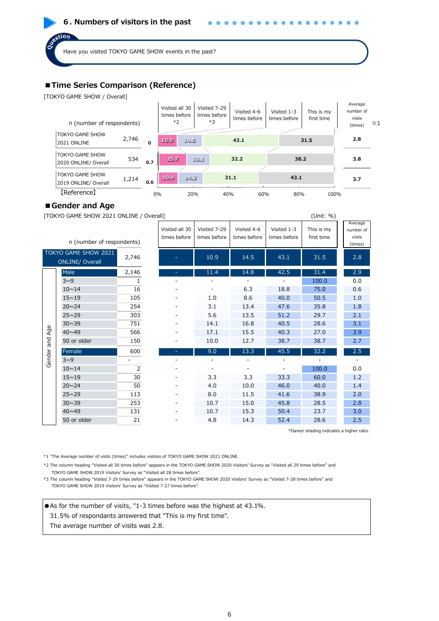#### **6. Numbers of visitors in the past**

Have you visited TOKYO GAME SHOW events in the past?

#### **■Time Series Comparison (Reference)**

[TOKYO GAME SHOW / Overall]

ostion



#### **■Gender and Age**

[TOKYO GAME SHOW 2021 ONLINE / Overall] (Unit: %)

|        | n (number of respondents)                                                                                                                                                                                                                                                                     |                | Visited all 30<br>times before | Visited 7-29<br>times before | Visited 4-6<br>times before | Visited 1-3<br>times before | This is my<br>first time                  | Average<br>number of<br>visits<br>(times) |  |  |  |  |  |
|--------|-----------------------------------------------------------------------------------------------------------------------------------------------------------------------------------------------------------------------------------------------------------------------------------------------|----------------|--------------------------------|------------------------------|-----------------------------|-----------------------------|-------------------------------------------|-------------------------------------------|--|--|--|--|--|
|        | TOKYO GAME SHOW 2021<br><b>ONLINE/ Overall</b>                                                                                                                                                                                                                                                | 2,746          |                                | 10.9                         | 14.5                        | 43.1                        | 31.5                                      | 2.8                                       |  |  |  |  |  |
|        | Male                                                                                                                                                                                                                                                                                          | 2,146          |                                | 11.4                         | 14.8                        | 42.5                        | 31.4                                      | 2.9                                       |  |  |  |  |  |
|        | $3\sim9$                                                                                                                                                                                                                                                                                      | $\mathbf{1}$   |                                |                              |                             |                             | 100.0                                     | 0.0                                       |  |  |  |  |  |
|        | $10 \sim 14$                                                                                                                                                                                                                                                                                  | 16             |                                |                              | 6.3                         | 18.8                        | 75.0                                      | 0.6                                       |  |  |  |  |  |
|        | $15 \sim 19$                                                                                                                                                                                                                                                                                  | 105            |                                | 1.0                          | 8.6                         | 40.0                        | 50.5                                      | 1.0                                       |  |  |  |  |  |
|        | $20 \sim 24$                                                                                                                                                                                                                                                                                  | 254            |                                | 3.1                          | 13.4                        | 47.6                        | 35.8                                      | 1.8                                       |  |  |  |  |  |
|        | $25 \sim 29$                                                                                                                                                                                                                                                                                  | 303            |                                | 5.6                          | 13.5                        | 51.2                        | 29.7                                      | 2.1                                       |  |  |  |  |  |
|        | $30 \sim 39$                                                                                                                                                                                                                                                                                  | 751            |                                | 14.1                         | 16.8                        | 40.5                        | 28.6                                      | 3.1                                       |  |  |  |  |  |
| Age    | $40 \sim 49$                                                                                                                                                                                                                                                                                  | 566            |                                | 17.1                         | 15.5                        | 40.3                        | 27.0                                      | 3.9                                       |  |  |  |  |  |
| and    | 50 or older                                                                                                                                                                                                                                                                                   | 150            |                                | 10.0                         | 12.7                        | 38.7                        | 38.7                                      | 2.7                                       |  |  |  |  |  |
|        | Female                                                                                                                                                                                                                                                                                        | 600            | ٠                              | 9.0                          | 13.3                        | 45.5                        | 32.2                                      | 2.5                                       |  |  |  |  |  |
| Gender | $3^0$                                                                                                                                                                                                                                                                                         |                |                                |                              |                             |                             |                                           |                                           |  |  |  |  |  |
|        | $10 \sim 14$                                                                                                                                                                                                                                                                                  | $\overline{2}$ |                                |                              |                             |                             | 100.0                                     | 0.0                                       |  |  |  |  |  |
|        | $15 - 19$                                                                                                                                                                                                                                                                                     | 30             |                                | 3.3                          | 3.3                         | 33.3                        | 60.0                                      | 1.2                                       |  |  |  |  |  |
|        | $20 \sim 24$                                                                                                                                                                                                                                                                                  | 50             |                                | 4.0                          | 10.0                        | 46.0                        | 40.0                                      | 1.4                                       |  |  |  |  |  |
|        | $25 \sim 29$                                                                                                                                                                                                                                                                                  | 113            |                                | 8.0                          | 11.5                        | 41.6                        | 38.9                                      | 2.0                                       |  |  |  |  |  |
|        | $30 \sim 39$                                                                                                                                                                                                                                                                                  | 253            |                                | 10.7                         | 15.0                        | 45.8                        | 28.5                                      | 2.8                                       |  |  |  |  |  |
|        | $40 \sim 49$                                                                                                                                                                                                                                                                                  | 131            |                                | 10.7                         | 15.3                        | 50.4                        | 23.7                                      | 3.0                                       |  |  |  |  |  |
|        | 50 or older                                                                                                                                                                                                                                                                                   | 21             |                                | 4.8                          | 14.3                        | 52.4                        | 28.6                                      | 2.5                                       |  |  |  |  |  |
|        |                                                                                                                                                                                                                                                                                               |                |                                |                              |                             |                             | *Darker shading indicates a higher ratio. |                                           |  |  |  |  |  |
|        | *1 "The Average number of visits (times)" includes visitors of TOKYO GAME SHOW 2021 ONLINE.<br>*2 The column heading "Visited all 30 times before" appears in the TOKYO GAME SHOW 2020 Visitors' Survey as "Visited all 29 times before" and                                                  |                |                                |                              |                             |                             |                                           |                                           |  |  |  |  |  |
|        | TOKYO GAME SHOW 2019 Visitors' Survey as "Visited all 28 times before".<br>*3 The column heading "Visited 7-29 times before" appears in the TOKYO GAME SHOW 2020 Visitors' Survey as "Visited 7-28 times before" and<br>TOKYO GAME SHOW 2019 Visitors' Survey as "Visited 7-27 times before". |                |                                |                              |                             |                             |                                           |                                           |  |  |  |  |  |

●As for the number of visits, "1-3 times before was the highest at 43.1%.

31.5% of respondants answered that "This is my first time".

The average number of visits was 2.8.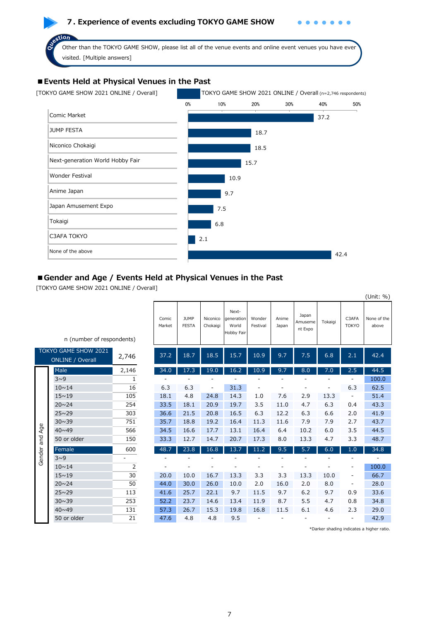### **7. Experience of events excluding TOKYO GAME SHOW**

 $\bullet$  $\bullet$ 

Other than the TOKYO GAME SHOW, please list all of the venue events and online event venues you have ever visited. [Multiple answers]

# **■Events Held at Physical Venues in the Past**

ction



#### ■ Gender and Age / Events Held at Physical Venues in the Past

[TOKYO GAME SHOW 2021 ONLINE / Overall]

| n (number of respondents)           |                | Comic<br>Market | <b>JUMP</b><br><b>FESTA</b> | Niconico<br>Chokaigi | Next-<br>generation<br>World<br>Hobby Fair | Wonder<br>Festival | Anime<br>Japan | Japan<br>Amuseme<br>nt Expo  | Tokaigi | C3AFA<br><b>TOKYO</b>    | None of the<br>above |
|-------------------------------------|----------------|-----------------|-----------------------------|----------------------|--------------------------------------------|--------------------|----------------|------------------------------|---------|--------------------------|----------------------|
| O GAME SHOW 2021<br>NLINE / Overall | 2,746          | 37.2            | 18.7                        | 18.5                 | 15.7                                       | 10.9               | 9.7            | 7.5                          | 6.8     | 2.1                      | 42.4                 |
| Male                                | 2,146          | 34.0            | 17.3                        | 19.0                 | 16.2                                       | 10.9               | 9.7            | 8.0                          | 7.0     | 2.5                      | 44.5                 |
| $3\sim9$                            | 1              |                 |                             |                      |                                            |                    |                |                              |         |                          | 100.0                |
| $10 \sim 14$                        | 16             | 6.3             | 6.3                         |                      | 31.3                                       |                    |                |                              |         | 6.3                      | 62.5                 |
| $15 - 19$                           | 105            | 18.1            | 4.8                         | 24.8                 | 14.3                                       | 1.0                | 7.6            | 2.9                          | 13.3    | $\overline{\phantom{0}}$ | 51.4                 |
| $20 \sim 24$                        | 254            | 33.5            | 18.1                        | 20.9                 | 19.7                                       | 3.5                | 11.0           | 4.7                          | 6.3     | 0.4                      | 43.3                 |
| $25 \sim 29$                        | 303            | 36.6            | 21.5                        | 20.8                 | 16.5                                       | 6.3                | 12.2           | 6.3                          | 6.6     | 2.0                      | 41.9                 |
| $30 \sim 39$                        | 751            | 35.7            | 18.8                        | 19.2                 | 16.4                                       | 11.3               | 11.6           | 7.9                          | 7.9     | 2.7                      | 43.7                 |
| 40~49                               | 566            | 34.5            | 16.6                        | 17.7                 | 13.1                                       | 16.4               | 6.4            | 10.2                         | 6.0     | 3.5                      | 44.5                 |
| 50 or older                         | 150            | 33.3            | 12.7                        | 14.7                 | 20.7                                       | 17.3               | 8.0            | 13.3                         | 4.7     | 3.3                      | 48.7                 |
| Female                              | 600            | 48.7            | 23.8                        | 16.8                 | 13.7                                       | 11.2               | 9.5            | 5.7                          | 6.0     | 1.0                      | 34.8                 |
| $3\sim9$                            | ٠              |                 |                             |                      |                                            |                    |                |                              |         |                          |                      |
| $10 \sim 14$                        | $\overline{2}$ |                 |                             |                      |                                            |                    |                |                              |         |                          | 100.0                |
| $15 - 19$                           | 30             | 20.0            | 10.0                        | 16.7                 | 13.3                                       | 3.3                | 3.3            | 13.3                         | 10.0    |                          | 66.7                 |
| $20 \sim 24$                        | 50             | 44.0            | 30.0                        | 26.0                 | 10.0                                       | 2.0                | 16.0           | 2.0                          | 8.0     |                          | 28.0                 |
| $25 \sim 29$                        | 113            | 41.6            | 25.7                        | 22.1                 | 9.7                                        | 11.5               | 9.7            | 6.2                          | 9.7     | 0.9                      | 33.6                 |
| $30 \sim 39$                        | 253            | 52.2            | 23.7                        | 14.6                 | 13.4                                       | 11.9               | 8.7            | 5.5                          | 4.7     | 0.8                      | 34.8                 |
| $40 \sim 49$                        | 131            | 57.3            | 26.7                        | 15.3                 | 19.8                                       | 16.8               | 11.5           | 6.1                          | 4.6     | 2.3                      | 29.0                 |
| 50 or older                         | 21             | 47.6            | 4.8                         | 4.8                  | 9.5                                        | ٠                  |                | $\qquad \qquad \blacksquare$ |         |                          | 42.9                 |

|                | TOKYO GAME SHOW 2021<br><b>ONLINE / Overall</b> | 2,746          |
|----------------|-------------------------------------------------|----------------|
|                | Male                                            | 2,146          |
|                | $3\nu9$                                         | $\mathbf{1}$   |
|                | $10 - 14$                                       | 16             |
|                | $15 - 19$                                       | 105            |
|                | $20 \sim 24$                                    | 254            |
|                | $25 \sim 29$                                    | 303            |
|                | $30 \sim 39$                                    | 751            |
|                | $40 \sim 49$                                    | 566            |
| Gender and Age | 50 or older                                     | 150            |
|                | Female                                          | 600            |
|                | $3\sim9$                                        |                |
|                | $10 - 14$                                       | $\overline{2}$ |
|                | $15 - 19$                                       | 30             |
|                | $20 \sim 24$                                    | 50             |
|                | $25 \sim 29$                                    | 113            |
|                | $30 \sim 39$                                    | 253            |
|                | $40 \sim 49$                                    | 131            |
|                | 50 or older                                     | 21             |

\*Darker shading indicates a higher ratio.

(Unit: %)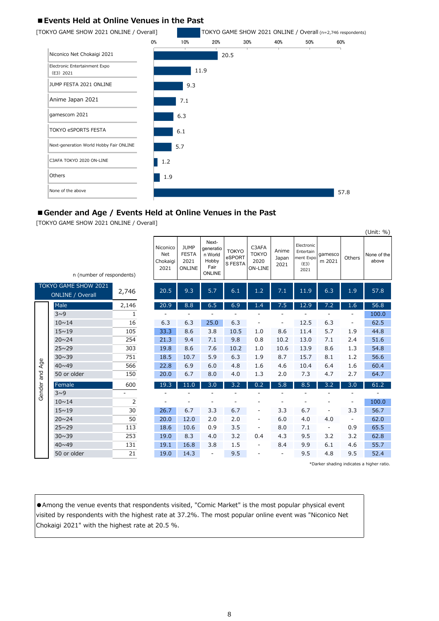## **■Events Held at Online Venues in the Past**



#### ■ Gender and Age / Events Held at Online Venues in the Past

[TOKYO GAME SHOW 2021 ONLINE / Overall]

|        |                                                 |                          |                                     |                                               |                                                          |                                   |                                          |                          |                                                      |                          |                | $\sqrt{21}$          |
|--------|-------------------------------------------------|--------------------------|-------------------------------------|-----------------------------------------------|----------------------------------------------------------|-----------------------------------|------------------------------------------|--------------------------|------------------------------------------------------|--------------------------|----------------|----------------------|
|        | n (number of respondents)                       |                          | Niconico<br>Net<br>Chokaigi<br>2021 | <b>JUMP</b><br><b>FESTA</b><br>2021<br>ONLINE | Next-<br>generatio<br>n World<br>Hobby<br>Fair<br>ONLINE | <b>TOKYO</b><br>eSPORT<br>S FESTA | C3AFA<br><b>TOKYO</b><br>2020<br>ON-LINE | Anime<br>Japan<br>2021   | Electronic<br>Entertain<br>ment Expo<br>(E3)<br>2021 | gamesco<br>m 2021        | Others         | None of the<br>above |
|        | TOKYO GAME SHOW 2021<br><b>ONLINE / Overall</b> | 2,746                    | 20.5                                | 9.3                                           | 5.7                                                      | 6.1                               | 1.2                                      | 7.1                      | 11.9                                                 | 6.3                      | 1.9            | 57.8                 |
|        | Male                                            | 2,146                    | 20.9                                | 8.8                                           | 6.5                                                      | 6.9                               | 1.4                                      | 7.5                      | 12.9                                                 | 7.2                      | 1.6            | 56.8                 |
|        | $3^0$                                           | $\mathbf{1}$             |                                     |                                               |                                                          |                                   |                                          |                          |                                                      |                          |                | 100.0                |
|        | $10 \sim 14$                                    | 16                       | 6.3                                 | 6.3                                           | 25.0                                                     | 6.3                               |                                          |                          | 12.5                                                 | 6.3                      | -              | 62.5                 |
|        | $15 \sim 19$                                    | 105                      | 33.3                                | 8.6                                           | 3.8                                                      | 10.5                              | 1.0                                      | 8.6                      | 11.4                                                 | 5.7                      | 1.9            | 44.8                 |
|        | $20 \sim 24$                                    | 254                      | 21.3                                | 9.4                                           | 7.1                                                      | 9.8                               | 0.8                                      | 10.2                     | 13.0                                                 | 7.1                      | 2.4            | 51.6                 |
|        | $25 \sim 29$                                    | 303                      | 19.8                                | 8.6                                           | 7.6                                                      | 10.2                              | 1.0                                      | 10.6                     | 13.9                                                 | 8.6                      | 1.3            | 54.8                 |
|        | $30 \sim 39$                                    | 751                      | 18.5                                | 10.7                                          | 5.9                                                      | 6.3                               | 1.9                                      | 8.7                      | 15.7                                                 | 8.1                      | 1.2            | 56.6                 |
| Age    | $40 \times 49$                                  | 566                      | 22.8                                | 6.9                                           | 6.0                                                      | 4.8                               | 1.6                                      | 4.6                      | 10.4                                                 | 6.4                      | 1.6            | 60.4                 |
| pue    | 50 or older                                     | 150                      | 20.0                                | 6.7                                           | 8.0                                                      | 4.0                               | 1.3                                      | 2.0                      | 7.3                                                  | 4.7                      | 2.7            | 64.7                 |
| Gender | Female                                          | 600                      | 19.3                                | 11.0                                          | 3.0                                                      | 3.2                               | 0.2                                      | 5.8                      | 8.5                                                  | 3.2                      | 3.0            | 61.2                 |
|        | $3^0$                                           | $\overline{\phantom{0}}$ |                                     |                                               |                                                          |                                   |                                          |                          |                                                      |                          |                |                      |
|        | $10 \sim 14$                                    | $\overline{2}$           |                                     |                                               |                                                          |                                   |                                          |                          |                                                      |                          |                | 100.0                |
|        | $15 \sim 19$                                    | 30                       | 26.7                                | 6.7                                           | 3.3                                                      | 6.7                               |                                          | 3.3                      | 6.7                                                  |                          | 3.3            | 56.7                 |
|        | $20 \sim 24$                                    | 50                       | 20.0                                | 12.0                                          | 2.0                                                      | 2.0                               | $\overline{\phantom{a}}$                 | 6.0                      | 4.0                                                  | 4.0                      | $\blacksquare$ | 62.0                 |
|        | $25 \sim 29$                                    | 113                      | 18.6                                | 10.6                                          | 0.9                                                      | 3.5                               | $\overline{\phantom{a}}$                 | 8.0                      | 7.1                                                  | $\overline{\phantom{a}}$ | 0.9            | 65.5                 |
|        | $30 \sim 39$                                    | 253                      | 19.0                                | 8.3                                           | 4.0                                                      | 3.2                               | 0.4                                      | 4.3                      | 9.5                                                  | 3.2                      | 3.2            | 62.8                 |
|        | $40 \sim 49$                                    | 131                      | 19.1                                | 16.8                                          | 3.8                                                      | 1.5                               | $\overline{\phantom{a}}$                 | 8.4                      | 9.9                                                  | 6.1                      | 4.6            | 55.7                 |
|        | 50 or older                                     | 21                       | 19.0                                | 14.3                                          | $\overline{a}$                                           | 9.5                               |                                          | $\overline{\phantom{0}}$ | 9.5                                                  | 4.8                      | 9.5            | 52.4                 |

\*Darker shading indicates a higher ratio.

 $(1 \text{Init} \cdot 0_6)$ 

● Among the venue events that respondents visited, "Comic Market" is the most popular physical event visited by respondents with the highest rate at 37.2%. The most popular online event was "Niconico Net Chokaigi 2021" with the highest rate at 20.5 %.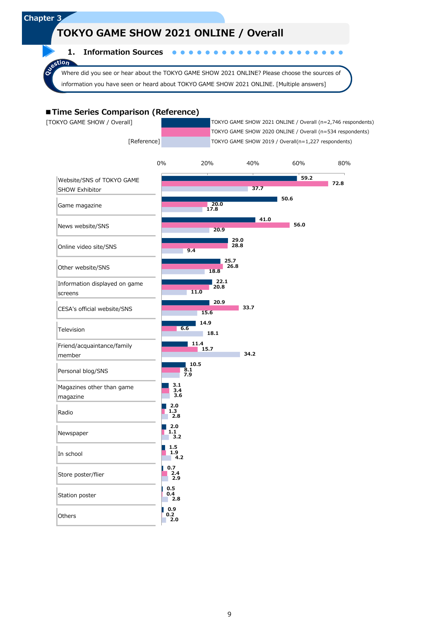# **TOKYO GAME SHOW 2021 ONLINE / Overall**

**1. Information Sources**

Where did you see or hear about the TOKYO GAME SHOW 2021 ONLINE? Please choose the sources of information you have seen or heard about TOKYO GAME SHOW 2021 ONLINE. [Multiple answers]

#### **■Time Series Comparison (Reference)**

**Chapter 3**

λ

astion

 [TOKYO GAME SHOW / Overall] TOKYO GAME SHOW 2021 ONLINE / Overall (n=2,746 respondents) TOKYO GAME SHOW 2020 ONLINE / Overall (n=534 respondents) [Reference] TOKYO GAME SHOW 2019 / Overall(n=1,227 respondents)

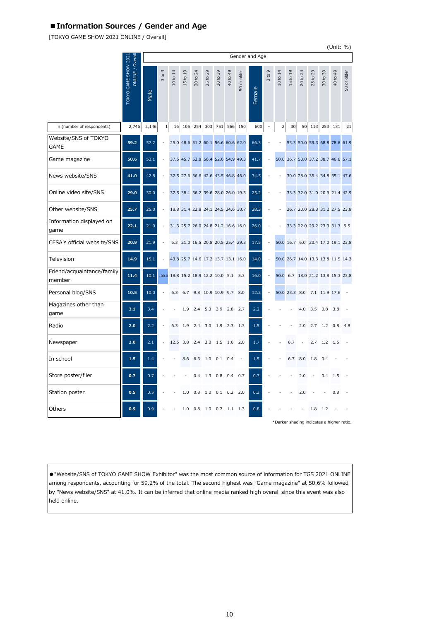# **■Information Sources / Gender and Age**

[TOKYO GAME SHOW 2021 ONLINE / Overall]

|                                      |                                          |       |                                    |          |          |                                            |                   |                                        |                                        |             |                |                |          |                                    |                  |                                                  |                        | (Unit: %)                         |             |
|--------------------------------------|------------------------------------------|-------|------------------------------------|----------|----------|--------------------------------------------|-------------------|----------------------------------------|----------------------------------------|-------------|----------------|----------------|----------|------------------------------------|------------------|--------------------------------------------------|------------------------|-----------------------------------|-------------|
|                                      |                                          |       |                                    |          |          |                                            |                   |                                        |                                        |             | Gender and Age |                |          |                                    |                  |                                                  |                        |                                   |             |
|                                      | ONLINE / Overall<br>TOKYO GAME SHOW 2021 | Male  | G<br>$\mathtt{S}$<br>$\frac{1}{2}$ | 10 to 14 | 15 to 19 | $^{24}$<br>$\mathtt{S}$<br>$\overline{20}$ | 25 to 29          | 39<br>$\mathfrak{S}$<br>$\overline{5}$ | 40 to 49                               | 50 or older | Female         | G<br>3 to 1    | 10 to 14 | $\overline{0}$<br>15 <sub>to</sub> | $^{24}$<br>20 to | 25 to 29                                         | 39<br>30 <sub>to</sub> | 49<br>$\mathtt{S}$<br>$rac{1}{9}$ | 50 or older |
| n (number of respondents)            | 2,746                                    | 2,146 | $\mathbf 1$                        | 16       | 105      | 254                                        | 303               | 751                                    | 566                                    | 150         | 600            | $\overline{a}$ | 2        | 30                                 | 50               | 113                                              | 253                    | 131                               | 21          |
| Website/SNS of TOKYO<br><b>GAME</b>  | 59.2                                     | 57.2  |                                    |          |          |                                            |                   |                                        | 25.0 48.6 51.2 60.1 56.6 60.6 62.0     |             | 66.3           |                |          |                                    |                  | 53.3 50.0 59.3 68.8 78.6 61.9                    |                        |                                   |             |
| Game magazine                        | 50.6                                     | 53.1  |                                    |          |          |                                            |                   |                                        | 37.5 45.7 52.8 56.4 52.6 54.9 49.3     |             | 41.7           |                |          |                                    |                  | 50.0 36.7 50.0 37.2 38.7 46.6 57.1               |                        |                                   |             |
| News website/SNS                     | 41.0                                     | 42.8  |                                    |          |          |                                            |                   |                                        | 37.5 27.6 36.6 42.6 43.5 46.8 46.0     |             | 34.5           |                |          |                                    |                  | 30.0 28.0 35.4 34.8 35.1 47.6                    |                        |                                   |             |
| Online video site/SNS                | 29.0                                     | 30.0  |                                    |          |          |                                            |                   |                                        | 37.5 38.1 36.2 39.6 28.0 26.0 19.3     |             | 25.2           |                |          |                                    |                  | 33.3 32.0 31.0 20.9 21.4 42.9                    |                        |                                   |             |
| Other website/SNS                    | 25.7                                     | 25.0  |                                    |          |          |                                            |                   |                                        | 18.8 31.4 22.8 24.1 24.5 24.6 30.7     |             | 28.3           |                |          |                                    |                  | 26.7 20.0 28.3 31.2 27.5 23.8                    |                        |                                   |             |
| Information displayed on<br>game     | 22.1                                     | 21.0  | Ĭ.                                 |          |          |                                            |                   |                                        | 31.3 25.7 26.0 24.8 21.2 16.6 16.0     |             | 26.0           |                |          |                                    |                  | 33.3 22.0 29.2 23.3 31.3                         |                        |                                   | 9.5         |
| CESA's official website/SNS          | 20.9                                     | 21.9  |                                    |          |          |                                            |                   |                                        | 6.3 21.0 16.5 20.8 20.5 25.4 29.3      |             | 17.5           |                |          |                                    |                  | 50.0 16.7 6.0 20.4 17.0 19.1 23.8                |                        |                                   |             |
| Television                           | 14.9                                     | 15.1  |                                    |          |          |                                            |                   |                                        | 43.8 25.7 14.6 17.2 13.7 13.1 16.0     |             | 14.0           | $\overline{a}$ |          |                                    |                  | 50.0 26.7 14.0 13.3 13.8 11.5 14.3               |                        |                                   |             |
| Friend/acquaintance/family<br>member | 11.4                                     | 10.1  |                                    |          |          |                                            |                   |                                        | 100.0 18.8 15.2 18.9 12.2 10.0 5.1 5.3 |             | 16.0           | $\overline{a}$ | 50.0     |                                    |                  | 6.7 18.0 21.2 13.8 15.3 23.8                     |                        |                                   |             |
| Personal blog/SNS                    | 10.5                                     | 10.0  |                                    | 6.3      | 6.7      |                                            | 9.8 10.9 10.9 9.7 |                                        |                                        | 8.0         | 12.2           | $\overline{a}$ |          | 50.0 23.3 8.0                      |                  | 7.1 11.9 17.6                                    |                        |                                   |             |
| Magazines other than<br>game         | 3.1                                      | 3.4   |                                    |          | 1.9      | 2.4                                        | 5.3               | 3.9                                    | 2.8                                    | 2.7         | 2.2            |                |          |                                    | 4.0              | 3.5                                              | 0.8                    | 3.8                               |             |
| Radio                                | 2.0                                      | 2.2   |                                    | 6.3      | 1.9      | 2.4                                        | 3.0               | 1.9                                    | 2.3                                    | 1.3         | 1.5            |                |          |                                    | 2.0              | 2.7                                              | 1.2                    | 0.8                               | 4.8         |
| Newspaper                            | 2.0                                      | 2.1   |                                    | 12.5     | 3.8      | 2.4                                        | 3.0               | 1.5                                    | 1.6                                    | 2.0         | 1.7            |                |          | 6.7                                |                  | 2.7                                              | 1.2                    | 1.5                               |             |
| In school                            | 1.5                                      | 1.4   |                                    |          | 8.6      | 6.3                                        | 1.0               | 0.1                                    | 0.4                                    |             | 1.5            |                |          | 6.7                                | 8.0              | 1.8                                              | 0.4                    |                                   |             |
| Store poster/flier                   | 0.7                                      | 0.7   |                                    |          |          | 0.4                                        | 1.3               | 0.8                                    | 0.4                                    | 0.7         | 0.7            |                |          |                                    | 2.0              |                                                  | 0.4                    | 1.5                               |             |
| Station poster                       | 0.5                                      | 0.5   |                                    |          | 1.0      | 0.8                                        | 1.0               | 0.1                                    | 0.2                                    | 2.0         | 0.3            |                |          |                                    | 2.0              |                                                  |                        | 0.8                               |             |
| Others                               | 0.9                                      | 0.9   |                                    |          | 1.0      | 0.8                                        | 1.0               | 0.7                                    | 1.1                                    | 1.3         | 0.8            |                |          |                                    |                  | 1.8<br>*Darker shading indicates a higher ratio. | 1.2                    |                                   |             |

●"Website/SNS of TOKYO GAME SHOW Exhibitor" was the most common source of information for TGS 2021 ONLINE among respondents, accounting for 59.2% of the total. The second highest was "Game magazine" at 50.6% followed by "News website/SNS" at 41.0%. It can be inferred that online media ranked high overall since this event was also held online.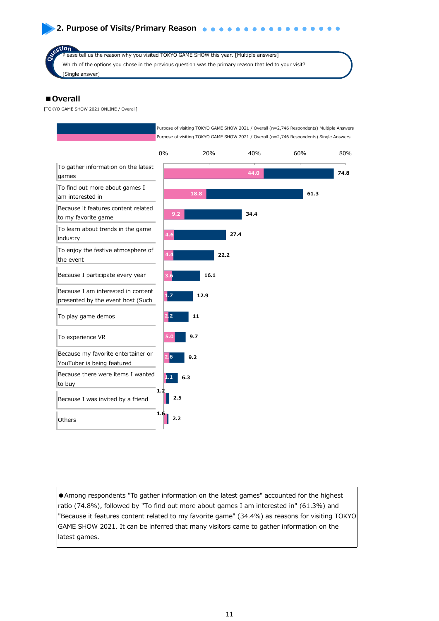# **2. Purpose of Visits/Primary Reason a a a**

tion, Please tell us the reason why you visited TOKYO GAME SHOW this year. [Multiple answers] Which of the options you chose in the previous question was the primary reason that led to your visit? [Single answer]

#### **■Overall**

[TOKYO GAME SHOW 2021 ONLINE / Overall]



●Among respondents "To gather information on the latest games" accounted for the highest ratio (74.8%), followed by "To find out more about games I am interested in" (61.3%) and "Because it features content related to my favorite game" (34.4%) as reasons for visiting TOKYO GAME SHOW 2021. It can be inferred that many visitors came to gather information on the latest games.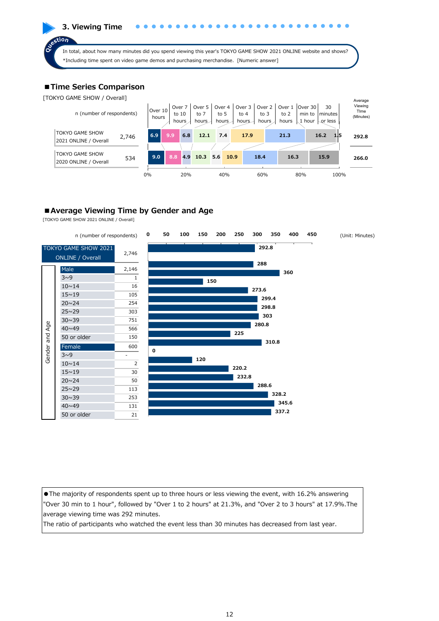**3. Viewing Time**  $\epsilon$ tion In total, about how many minutes did you spend viewing this year's TOKYO GAME SHOW 2021 ONLINE website and shows? \*Including time spent on video game demos and purchasing merchandise. [Numeric answer]

# **■Time Series Comparison**

[TOKYO GAME SHOW / Overall]



# ■ Average Viewing Time by Gender and Age

[TOKYO GAME SHOW 2021 ONLINE / Overall]



●The majority of respondents spent up to three hours or less viewing the event, with 16.2% answering "Over 30 min to 1 hour", followed by "Over 1 to 2 hours" at 21.3%, and "Over 2 to 3 hours" at 17.9%.The average viewing time was 292 minutes.

The ratio of participants who watched the event less than 30 minutes has decreased from last year.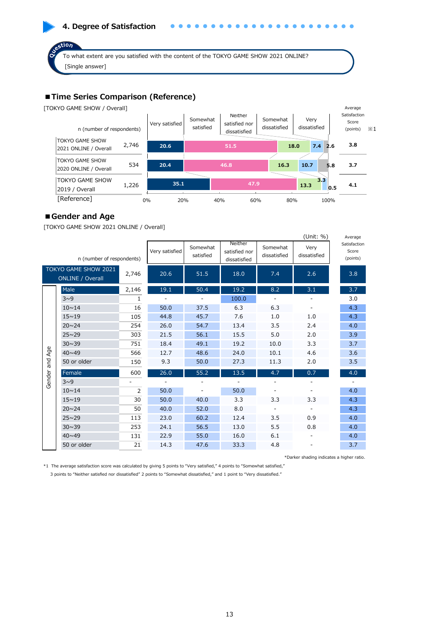# **4. Degree of Satisfaction**

To what extent are you satisfied with the content of the TOKYO GAME SHOW 2021 ONLINE? [Single answer]

# **■Time Series Comparison (Reference)**

[TOKYO GAME SHOW / Overall]

stion



#### **■Gender and Age**

[TOKYO GAME SHOW 2021 ONLINE / Overall]

|        |                                                 |              |                |                       |                                          |                          | (Unit: %)            | Average                           |
|--------|-------------------------------------------------|--------------|----------------|-----------------------|------------------------------------------|--------------------------|----------------------|-----------------------------------|
|        | n (number of respondents)                       |              | Very satisfied | Somewhat<br>satisfied | Neither<br>satisfied nor<br>dissatisfied | Somewhat<br>dissatisfied | Very<br>dissatisfied | Satisfaction<br>Score<br>(points) |
|        | TOKYO GAME SHOW 2021<br><b>ONLINE / Overall</b> | 2,746        | 20.6           | 51.5                  | 18.0                                     | 7.4                      | 2.6                  | 3.8                               |
|        | Male                                            | 2,146        | 19.1           | 50.4                  | 19.2                                     | 8.2                      | 3.1                  | 3.7                               |
|        | $3^0$                                           | $\mathbf{1}$ |                |                       | 100.0                                    |                          |                      | 3.0                               |
|        | $10 \sim 14$                                    | 16           | 50.0           | 37.5                  | 6.3                                      | 6.3                      |                      | 4.3                               |
|        | $15 \sim 19$                                    | 105          | 44.8           | 45.7                  | 7.6                                      | 1.0                      | 1.0                  | 4.3                               |
|        | $20 \sim 24$                                    | 254          | 26.0           | 54.7                  | 13.4                                     | 3.5                      | 2.4                  | 4.0                               |
|        | $25 \sim 29$                                    | 303          | 21.5           | 56.1                  | 15.5                                     | 5.0                      | 2.0                  | 3.9                               |
|        | $30 \sim 39$                                    | 751          | 18.4           | 49.1                  | 19.2                                     | 10.0                     | 3.3                  | 3.7                               |
| Age    | $40 \sim 49$                                    | 566          | 12.7           | 48.6                  | 24.0                                     | 10.1                     | 4.6                  | 3.6                               |
| pue    | 50 or older                                     | 150          | 9.3            | 50.0                  | 27.3                                     | 11.3                     | 2.0                  | 3.5                               |
| Gender | Female                                          | 600          | 26.0           | 55.2                  | 13.5                                     | 4.7                      | 0.7                  | 4.0                               |
|        | $3^0$                                           |              |                |                       |                                          |                          |                      |                                   |
|        | $10 \sim 14$                                    | 2            | 50.0           |                       | 50.0                                     |                          |                      | 4.0                               |
|        | $15 - 19$                                       | 30           | 50.0           | 40.0                  | 3.3                                      | 3.3                      | 3.3                  | 4.3                               |
|        | $20 \sim 24$                                    | 50           | 40.0           | 52.0                  | 8.0                                      |                          |                      | 4.3                               |
|        | $25 \sim 29$                                    | 113          | 23.0           | 60.2                  | 12.4                                     | 3.5                      | 0.9                  | 4.0                               |
|        | $30 \sim 39$                                    | 253          | 24.1           | 56.5                  | 13.0                                     | 5.5                      | 0.8                  | 4.0                               |
|        | $40 \times 49$                                  | 131          | 22.9           | 55.0                  | 16.0                                     | 6.1                      |                      | 4.0                               |
|        | 50 or older                                     | 21           | 14.3           | 47.6                  | 33.3                                     | 4.8                      |                      | 3.7                               |

\*Darker shading indicates a higher ratio.

\*1 The average satisfaction score was calculated by giving 5 points to "Very satisfied," 4 points to "Somewhat satisfied," 3 points to "Neither satisfied nor dissatisfied" 2 points to "Somewhat dissatisfied," and 1 point to "Very dissatisfied."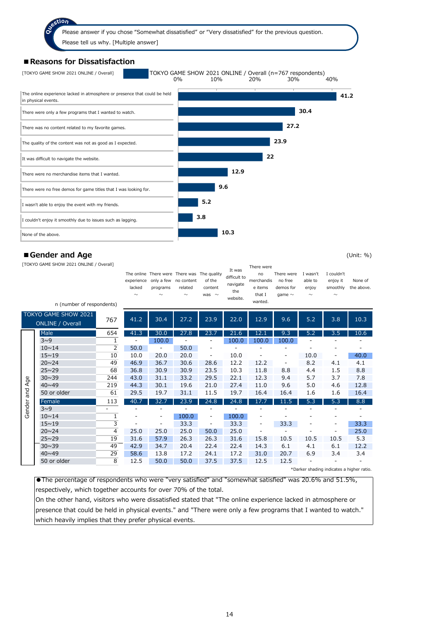#### **■Reasons for Dissatisfaction**



#### ■ Gender and Age (Unit: %)

[TOKYO GAME SHOW 2021 ONLINE / Overall]

|        | [TOKYO GAME SHOW 2021 ONLINE / OVerall]<br>n (number of respondents)<br>TOKYO GAME SHOW 2021 |                | lacked<br>$\sim$             | The online There were There was The quality<br>experience only a few no content<br>programs<br>$\sim$ | related<br>$\sim$ | of the<br>content<br>was $\sim$ | It was<br>difficult to<br>navigate<br>the<br>website. | There were<br>no<br>merchandis<br>e items<br>that I<br>wanted. | There were<br>no free<br>demos for<br>qame $\sim$ | I wasn't<br>able to<br>enjoy<br>$\sim$ | I couldn't<br>enjoy it<br>smoothly<br>$\sim$ | None of<br>the above. |
|--------|----------------------------------------------------------------------------------------------|----------------|------------------------------|-------------------------------------------------------------------------------------------------------|-------------------|---------------------------------|-------------------------------------------------------|----------------------------------------------------------------|---------------------------------------------------|----------------------------------------|----------------------------------------------|-----------------------|
|        | <b>ONLINE / Overall</b>                                                                      | 767            | 41.2                         | 30.4                                                                                                  | 27.2              | 23.9                            | 22.0                                                  | 12.9                                                           | 9.6                                               | 5.2                                    | 3.8                                          | 10.3                  |
|        | Male                                                                                         | 654            | 41.3                         | 30.0                                                                                                  | 27.8              | 23.7                            | 21.6                                                  | 12.1                                                           | 9.3                                               | 5.2                                    | 3.5                                          | 10.6                  |
|        | 3 <sup>0</sup>                                                                               | $\mathbf{1}$   | $\qquad \qquad \blacksquare$ | 100.0                                                                                                 |                   |                                 | 100.0                                                 | 100.0                                                          | 100.0                                             |                                        |                                              |                       |
|        | $10 \sim 14$                                                                                 | 2              | 50.0                         |                                                                                                       | 50.0              |                                 |                                                       |                                                                |                                                   |                                        |                                              |                       |
|        | $15 \sim 19$                                                                                 | 10             | 10.0                         | 20.0                                                                                                  | 20.0              | $\overline{\phantom{0}}$        | 10.0                                                  |                                                                | $\qquad \qquad \blacksquare$                      | 10.0                                   |                                              | 40.0                  |
|        | $20 \sim 24$                                                                                 | 49             | 46.9                         | 36.7                                                                                                  | 30.6              | 28.6                            | 12.2                                                  | 12.2                                                           | $\overline{\phantom{a}}$                          | 8.2                                    | 4.1                                          | 4.1                   |
|        | $25 \sim 29$                                                                                 | 68             | 36.8                         | 30.9                                                                                                  | 30.9              | 23.5                            | 10.3                                                  | 11.8                                                           | 8.8                                               | 4.4                                    | 1.5                                          | 8.8                   |
| Age    | $30 \sim 39$                                                                                 | 244            | 43.0                         | 31.1                                                                                                  | 33.2              | 29.5                            | 22.1                                                  | 12.3                                                           | 9.4                                               | 5.7                                    | 3.7                                          | 7.8                   |
|        | $40 \times 49$                                                                               | 219            | 44.3                         | 30.1                                                                                                  | 19.6              | 21.0                            | 27.4                                                  | 11.0                                                           | 9.6                                               | 5.0                                    | 4.6                                          | 12.8                  |
| pue    | 50 or older                                                                                  | 61             | 29.5                         | 19.7                                                                                                  | 31.1              | 11.5                            | 19.7                                                  | 16.4                                                           | 16.4                                              | 1.6                                    | 1.6                                          | 16.4                  |
|        | Female                                                                                       | 113            | 40.7                         | 32.7                                                                                                  | 23.9              | 24.8                            | 24.8                                                  | 17.7                                                           | 11.5                                              | 5.3                                    | 5.3                                          | 8.8                   |
| Gender | $3\sim9$                                                                                     |                | ۰                            |                                                                                                       |                   |                                 |                                                       |                                                                |                                                   |                                        |                                              |                       |
|        | $10 \sim 14$                                                                                 | 1              | ۰                            | ۰                                                                                                     | 100.0             | $\overline{\phantom{a}}$        | 100.0                                                 |                                                                |                                                   |                                        |                                              |                       |
|        | $15 \sim 19$                                                                                 | 3              |                              | -                                                                                                     | 33.3              | $\overline{\phantom{a}}$        | 33.3                                                  | $\qquad \qquad \blacksquare$                                   | 33.3                                              |                                        |                                              | 33.3                  |
|        | $20 \sim 24$                                                                                 | $\overline{4}$ | 25.0                         | 25.0                                                                                                  | 25.0              | 50.0                            | 25.0                                                  |                                                                |                                                   |                                        |                                              | 25.0                  |
|        | $25 \sim 29$                                                                                 | 19             | 31.6                         | 57.9                                                                                                  | 26.3              | 26.3                            | 31.6                                                  | 15.8                                                           | 10.5                                              | 10.5                                   | 10.5                                         | 5.3                   |
|        | $30 \sim 39$                                                                                 | 49             | 42.9                         | 34.7                                                                                                  | 20.4              | 22.4                            | 22.4                                                  | 14.3                                                           | 6.1                                               | 4.1                                    | 6.1                                          | 12.2                  |
|        | $40 \sim 49$                                                                                 | 29             | 58.6                         | 13.8                                                                                                  | 17.2              | 24.1                            | 17.2                                                  | 31.0                                                           | 20.7                                              | 6.9                                    | 3.4                                          | 3.4                   |
|        | 50 or older                                                                                  | 8              | 12.5                         | 50.0                                                                                                  | 50.0              | 37.5                            | 37.5                                                  | 12.5                                                           | 12.5                                              |                                        |                                              |                       |
|        |                                                                                              |                |                              |                                                                                                       |                   |                                 |                                                       |                                                                |                                                   |                                        | *Darker shading indicates a higher ratio.    |                       |

●The percentage of respondents who were "very satisfied" and "somewhat satisfied" was 20.6% and 51.5%, respectively, which together accounts for over 70% of the total.

On the other hand, visitors who were dissatisfied stated that "The online experience lacked in atmosphere or presence that could be held in physical events." and "There were only a few programs that I wanted to watch." which heavily implies that they prefer physical events.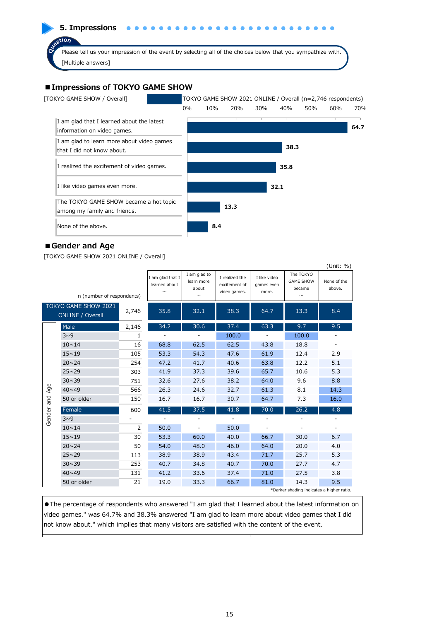**5. Impressions**

Please tell us your impression of the event by selecting all of the choices below that you sympathize with. [Multiple answers]

#### **■Impressions of TOKYO GAME SHOW**



#### **■Gender and Age**

tion

[TOKYO GAME SHOW 2021 ONLINE / Overall]

|        |                                                 |                |                                             |                                               |                                                 |                                     |                                           | (Unit: %)             |
|--------|-------------------------------------------------|----------------|---------------------------------------------|-----------------------------------------------|-------------------------------------------------|-------------------------------------|-------------------------------------------|-----------------------|
|        | n (number of respondents)                       |                | I am glad that I<br>learned about<br>$\sim$ | I am glad to<br>learn more<br>about<br>$\sim$ | I realized the<br>excitement of<br>video games. | I like video<br>games even<br>more. | The TOKYO<br><b>GAME SHOW</b><br>became   | None of the<br>above. |
|        | TOKYO GAME SHOW 2021<br><b>ONLINE / Overall</b> | 2,746          | 35.8                                        | 32.1                                          | 38.3                                            | 64.7                                | 13.3                                      | 8.4                   |
|        | Male                                            | 2,146          | 34.2                                        | 30.6                                          | 37.4                                            | 63.3                                | 9.7                                       | 9.5                   |
|        | $3^0$                                           | $\mathbf{1}$   |                                             |                                               | 100.0                                           |                                     | 100.0                                     |                       |
|        | $10 \sim 14$                                    | 16             | 68.8                                        | 62.5                                          | 62.5                                            | 43.8                                | 18.8                                      |                       |
|        | $15 \sim 19$                                    | 105            | 53.3                                        | 54.3                                          | 47.6                                            | 61.9                                | 12.4                                      | 2.9                   |
|        | $20 \times 24$                                  | 254            | 47.2                                        | 41.7                                          | 40.6                                            | 63.8                                | 12.2                                      | 5.1                   |
|        | $25 \sim 29$                                    | 303            | 41.9                                        | 37.3                                          | 39.6                                            | 65.7                                | 10.6                                      | 5.3                   |
|        | $30 \sim 39$                                    | 751            | 32.6                                        | 27.6                                          | 38.2                                            | 64.0                                | 9.6                                       | 8.8                   |
| Age    | $40 \times 49$                                  | 566            | 26.3                                        | 24.6                                          | 32.7                                            | 61.3                                | 8.1                                       | 14.3                  |
| and    | 50 or older                                     | 150            | 16.7                                        | 16.7                                          | 30.7                                            | 64.7                                | 7.3                                       | 16.0                  |
|        | Female                                          | 600            | 41.5                                        | 37.5                                          | 41.8                                            | 70.0                                | 26.2                                      | 4.8                   |
| Gender | $3^0$                                           |                |                                             |                                               |                                                 |                                     |                                           |                       |
|        | $10 \sim 14$                                    | $\overline{2}$ | 50.0                                        |                                               | 50.0                                            |                                     |                                           |                       |
|        | $15 \sim 19$                                    | 30             | 53.3                                        | 60.0                                          | 40.0                                            | 66.7                                | 30.0                                      | 6.7                   |
|        | $20 \sim 24$                                    | 50             | 54.0                                        | 48.0                                          | 46.0                                            | 64.0                                | 20.0                                      | 4.0                   |
|        | $25 \sim 29$                                    | 113            | 38.9                                        | 38.9                                          | 43.4                                            | 71.7                                | 25.7                                      | 5.3                   |
|        | $30 \sim 39$                                    | 253            | 40.7                                        | 34.8                                          | 40.7                                            | 70.0                                | 27.7                                      | 4.7                   |
|        | $40 \times 49$                                  | 131            | 41.2                                        | 33.6                                          | 37.4                                            | 71.0                                | 27.5                                      | 3.8                   |
|        | 50 or older                                     | 21             | 19.0                                        | 33.3                                          | 66.7                                            | 81.0                                | 14.3                                      | 9.5                   |
|        |                                                 |                |                                             |                                               |                                                 |                                     | *Darker shading indicates a higher ratio. |                       |

●The percentage of respondents who answered "I am glad that I learned about the latest information on video games." was 64.7% and 38.3% answered "I am glad to learn more about video games that I did not know about." which implies that many visitors are satisfied with the content of the event.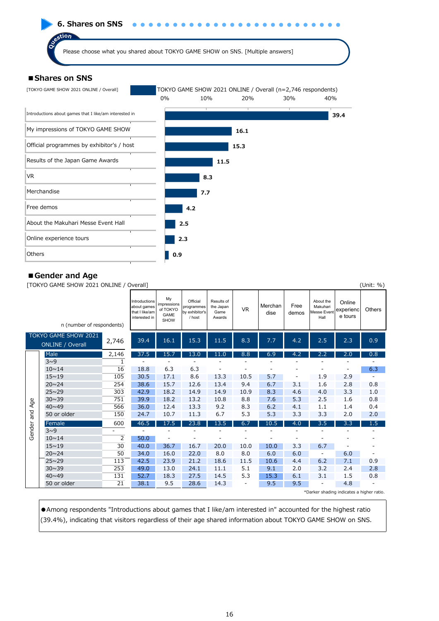

#### **■Gender and Age**

[TOKYO GAME SHOW 2021 ONLINE / Overall] (Unit: %)

|        | $\frac{1}{2}$                                   |       |                                                                 |                                                      |                                                    |                                           |                          |                 |               |                                              |                                | , <del></del> , |
|--------|-------------------------------------------------|-------|-----------------------------------------------------------------|------------------------------------------------------|----------------------------------------------------|-------------------------------------------|--------------------------|-----------------|---------------|----------------------------------------------|--------------------------------|-----------------|
|        | n (number of respondents)                       |       | Introductions<br>about games<br>that I like/am<br>interested in | My<br>impressions<br>of TOKYO<br>GAME<br><b>SHOW</b> | Official<br>programmes<br>by exhibitor's<br>/ host | Results of<br>the Japan<br>Game<br>Awards | <b>VR</b>                | Merchan<br>dise | Free<br>demos | About the<br>Makuhari<br>Messe Event<br>Hall | Online<br>experienc<br>e tours | Others          |
|        | TOKYO GAME SHOW 2021<br><b>ONLINE / Overall</b> | 2,746 | 39.4                                                            | 16.1                                                 | 15.3                                               | 11.5                                      | 8.3                      | 7.7             | 4.2           | 2.5                                          | 2.3                            | 0.9             |
|        | Male                                            | 2,146 | 37.5                                                            | 15.7                                                 | 13.0                                               | 11.0                                      | 8.8                      | 6.9             | 4.2           | 2.2                                          | 2.0                            | 0.8             |
|        | $3\sim9$                                        | 1     |                                                                 |                                                      |                                                    |                                           |                          |                 |               |                                              |                                |                 |
|        | $10 \sim 14$                                    | 16    | 18.8                                                            | 6.3                                                  | 6.3                                                |                                           |                          |                 |               |                                              |                                | 6.3             |
|        | $15 \sim 19$                                    | 105   | 30.5                                                            | 17.1                                                 | 8.6                                                | 13.3                                      | 10.5                     | 5.7             |               | 1.9                                          | 2.9                            |                 |
|        | $20 \times 24$                                  | 254   | 38.6                                                            | 15.7                                                 | 12.6                                               | 13.4                                      | 9.4                      | 6.7             | 3.1           | 1.6                                          | 2.8                            | 0.8             |
|        | $25 \sim 29$                                    | 303   | 42.9                                                            | 18.2                                                 | 14.9                                               | 14.9                                      | 10.9                     | 8.3             | 4.6           | 4.0                                          | 3.3                            | 1.0             |
| Age    | $30 \sim 39$                                    | 751   | 39.9                                                            | 18.2                                                 | 13.2                                               | 10.8                                      | 8.8                      | 7.6             | 5.3           | 2.5                                          | 1.6                            | 0.8             |
|        | $40 \times 49$                                  | 566   | 36.0                                                            | 12.4                                                 | 13.3                                               | 9.2                                       | 8.3                      | 6.2             | 4.1           | 1.1                                          | 1.4                            | 0.4             |
| and    | 50 or older                                     | 150   | 24.7                                                            | 10.7                                                 | 11.3                                               | 6.7                                       | 5.3                      | 5.3             | 3.3           | 3.3                                          | 2.0                            | 2.0             |
|        | Female                                          | 600   | 46.5                                                            | 17.5                                                 | 23.8                                               | 13.5                                      | 6.7                      | 10.5            | 4.0           | 3.5                                          | 3.3                            | 1.5             |
| Gender | 3 <sup>0</sup>                                  |       |                                                                 |                                                      |                                                    |                                           |                          |                 |               |                                              |                                |                 |
|        | $10 \sim 14$                                    | 2     | 50.0                                                            |                                                      |                                                    |                                           |                          |                 |               |                                              |                                |                 |
|        | $15 \sim 19$                                    | 30    | 40.0                                                            | 36.7                                                 | 16.7                                               | 20.0                                      | 10.0                     | 10.0            | 3.3           | 6.7                                          |                                |                 |
|        | $20 \sim 24$                                    | 50    | 34.0                                                            | 16.0                                                 | 22.0                                               | 8.0                                       | 8.0                      | 6.0             | 6.0           | $\overline{\phantom{a}}$                     | 6.0                            |                 |
|        | $25 \sim 29$                                    | 113   | 42.5                                                            | 23.9                                                 | 21.2                                               | 18.6                                      | 11.5                     | 10.6            | 4.4           | 6.2                                          | 7.1                            | 0.9             |
|        | $30 \sim 39$                                    | 253   | 49.0                                                            | 13.0                                                 | 24.1                                               | 11.1                                      | 5.1                      | 9.1             | 2.0           | 3.2                                          | 2.4                            | 2.8             |
|        | $40 \sim 49$                                    | 131   | 52.7                                                            | 18.3                                                 | 27.5                                               | 14.5                                      | 5.3                      | 15.3            | 6.1           | 3.1                                          | 1.5                            | 0.8             |
|        | 50 or older                                     | 21    | 38.1                                                            | 9.5                                                  | 28.6                                               | 14.3                                      | $\overline{\phantom{a}}$ | 9.5             | 9.5           | -                                            | 4.8                            |                 |
|        |                                                 |       |                                                                 |                                                      |                                                    |                                           |                          |                 |               | *Darker shading indicates a higher ratio.    |                                |                 |

●Among respondents "Introductions about games that I like/am interested in" accounted for the highest ratio (39.4%), indicating that visitors regardless of their age shared information about TOKYO GAME SHOW on SNS.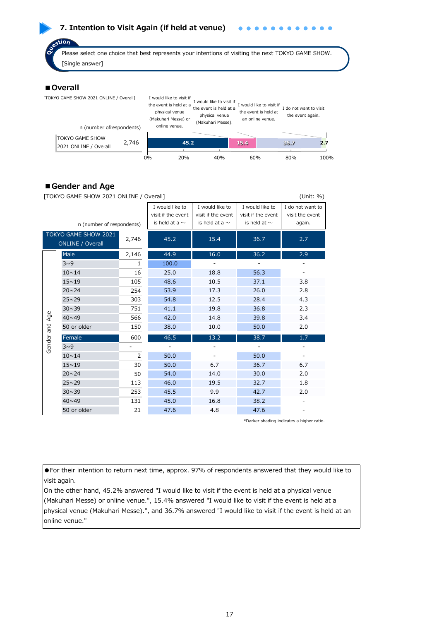# **7. Intention to Visit Again (if held at venue)**

stion

Please select one choice that best represents your intentions of visiting the next TOKYO GAME SHOW. [Single answer]

#### ■**Overall**

| [TOKYO GAME SHOW 2021 ONLINE / Overall]         |       |       | I would like to visit if<br>the event is held at a<br>physical venue<br>(Makuhari Messe) or<br>online venue. | I would like to visit if<br>the event is held at a<br>physical venue<br>(Makuhari Messe). |      | would like to visit if<br>the event is held at<br>an online venue. | I do not want to visit<br>the event again. |      |
|-------------------------------------------------|-------|-------|--------------------------------------------------------------------------------------------------------------|-------------------------------------------------------------------------------------------|------|--------------------------------------------------------------------|--------------------------------------------|------|
| n (number ofrespondents)                        |       |       |                                                                                                              |                                                                                           |      |                                                                    |                                            |      |
| <b>TOKYO GAME SHOW</b><br>2021 ONLINE / Overall | 2,746 |       | 45.2                                                                                                         |                                                                                           | 15.4 |                                                                    | 36.7                                       | 2.7  |
|                                                 |       | $0\%$ | 20%                                                                                                          | 40%                                                                                       |      | 60%                                                                | 80%                                        | 100% |

#### **■Gender and Age**

| TOKYO GAME SHOW 2021 ONLINE / Overall <br>(Unit: %) |                                                 |                |                                       |                                       |                                       |                                     |  |  |  |  |  |
|-----------------------------------------------------|-------------------------------------------------|----------------|---------------------------------------|---------------------------------------|---------------------------------------|-------------------------------------|--|--|--|--|--|
|                                                     |                                                 |                | I would like to<br>visit if the event | I would like to<br>visit if the event | I would like to<br>visit if the event | I do not want to<br>visit the event |  |  |  |  |  |
|                                                     | n (number of respondents)                       |                | is held at a $\sim$                   | is held at a $\sim$                   | is held at $\sim$                     | again.                              |  |  |  |  |  |
|                                                     | TOKYO GAME SHOW 2021<br><b>ONLINE / Overall</b> | 2,746          | 45.2                                  | 15.4                                  | 36.7                                  | 2.7                                 |  |  |  |  |  |
|                                                     | Male                                            | 2,146          | 44.9                                  | 16.0                                  | 36.2                                  | 2.9                                 |  |  |  |  |  |
|                                                     | $3\sim9$                                        | $\mathbf{1}$   | 100.0                                 |                                       |                                       |                                     |  |  |  |  |  |
|                                                     | $10 \sim 14$                                    | 16             | 25.0                                  | 18.8                                  | 56.3                                  |                                     |  |  |  |  |  |
|                                                     | $15 - 19$                                       | 105            | 48.6                                  | 10.5                                  | 37.1                                  | 3.8                                 |  |  |  |  |  |
|                                                     | $20 \sim 24$                                    | 254            | 53.9                                  | 17.3                                  | 26.0                                  | 2.8                                 |  |  |  |  |  |
|                                                     | $25 \sim 29$                                    | 303            | 54.8                                  | 12.5                                  | 28.4                                  | 4.3                                 |  |  |  |  |  |
|                                                     | $30 \sim 39$                                    | 751            | 41.1                                  | 19.8                                  | 36.8                                  | 2.3                                 |  |  |  |  |  |
| Age                                                 | $40 \sim 49$                                    | 566            | 42.0                                  | 14.8                                  | 39.8                                  | 3.4                                 |  |  |  |  |  |
| pue                                                 | 50 or older                                     | 150            | 38.0                                  | 10.0                                  | 50.0                                  | 2.0                                 |  |  |  |  |  |
|                                                     | Female                                          | 600            | 46.5                                  | 13.2                                  | 38.7                                  | 1.7                                 |  |  |  |  |  |
| Gender                                              | $3^0$                                           |                |                                       |                                       |                                       |                                     |  |  |  |  |  |
|                                                     | $10 \sim 14$                                    | $\overline{2}$ | 50.0                                  |                                       | 50.0                                  |                                     |  |  |  |  |  |
|                                                     | $15 - 19$                                       | 30             | 50.0                                  | 6.7                                   | 36.7                                  | 6.7                                 |  |  |  |  |  |
|                                                     | $20 \sim 24$                                    | 50             | 54.0                                  | 14.0                                  | 30.0                                  | 2.0                                 |  |  |  |  |  |
|                                                     | $25 \sim 29$                                    | 113            | 46.0                                  | 19.5                                  | 32.7                                  | 1.8                                 |  |  |  |  |  |
|                                                     | $30 \sim 39$                                    | 253            | 45.5                                  | 9.9                                   | 42.7                                  | 2.0                                 |  |  |  |  |  |
|                                                     | $40 \sim 49$                                    | 131            | 45.0                                  | 16.8                                  | 38.2                                  |                                     |  |  |  |  |  |
|                                                     | 50 or older                                     | 21             | 47.6                                  | 4.8                                   | 47.6                                  |                                     |  |  |  |  |  |

\*Darker shading indicates a higher ratio.

●For their intention to return next time, approx. 97% of respondents answered that they would like to visit again.

On the other hand, 45.2% answered "I would like to visit if the event is held at a physical venue (Makuhari Messe) or online venue.", 15.4% answered "I would like to visit if the event is held at a physical venue (Makuhari Messe).", and 36.7% answered "I would like to visit if the event is held at an online venue."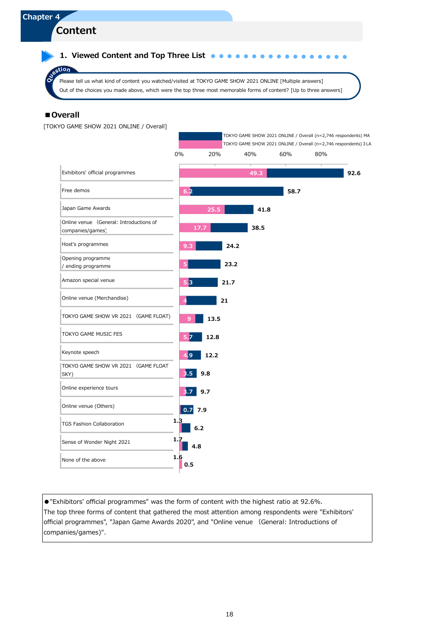**1. Viewed Content and Top Three List**  $\bullet \bullet \bullet \bullet$  $\bullet$  $\bullet$ 

Please tell us what kind of content you watched/visited at TOKYO GAME SHOW 2021 ONLINE [Multiple answers] Out of the choices you made above, which were the top three most memorable forms of content? [Up to three answers]

#### ■**Overall**

 $sin$ 

[TOKYO GAME SHOW 2021 ONLINE / Overall]



●"Exhibitors' official programmes" was the form of content with the highest ratio at 92.6%. The top three forms of content that gathered the most attention among respondents were "Exhibitors' official programmes", "Japan Game Awards 2020", and "Online venue (General: Introductions of companies/games)".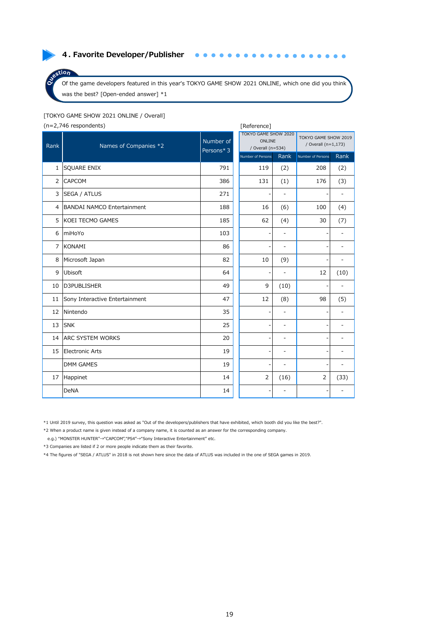#### **4. Favorite Developer/Publisher**

Of the game developers featured in this year's TOKYO GAME SHOW 2021 ONLINE, which one did you think was the best? [Open-ended answer] \*1

 $\bullet$ 

 $\bullet$ 

 $\bullet\bullet\bullet\bullet\bullet$ 

 $\bullet$ 

#### [TOKYO GAME SHOW 2021 ONLINE / Overall]

(n=2,746 respondents) [Reference]

 $stion$ 

|                | $(1 - 2)$ , $-3$ , $-5$ , $-5$ , $-5$ , $-5$ , $-5$ , $-5$ , $-5$ , $-5$ , $-5$ , $-5$ , $-5$ , $-5$ , $-5$ , $-5$ , $-5$ , $-5$ , $-5$ , $-5$ , $-5$ , $-5$ , $-5$ , $-5$ , $-5$ , $-5$ , $-5$ , $-5$ , $-5$ , $-5$ , $-5$ , $-5$ , $-5$ , $-5$ , $-5$ , $-5$ , |                        |                                                     |                          |                                             |      |  |  |  |  |  |
|----------------|------------------------------------------------------------------------------------------------------------------------------------------------------------------------------------------------------------------------------------------------------------------|------------------------|-----------------------------------------------------|--------------------------|---------------------------------------------|------|--|--|--|--|--|
| Rank           | Names of Companies *2                                                                                                                                                                                                                                            | Number of<br>Persons*3 | TOKYO GAME SHOW 2020<br>ONLINE<br>/ Overall (n=534) |                          | TOKYO GAME SHOW 2019<br>/ Overall (n=1,173) |      |  |  |  |  |  |
|                |                                                                                                                                                                                                                                                                  |                        | Number of Persons                                   | Rank                     | Number of Persons                           | Rank |  |  |  |  |  |
| 1              | <b>SQUARE ENIX</b>                                                                                                                                                                                                                                               | 791                    | 119                                                 | (2)                      | 208                                         | (2)  |  |  |  |  |  |
| $\overline{2}$ | CAPCOM                                                                                                                                                                                                                                                           | 386                    | 131                                                 | (1)                      | 176                                         | (3)  |  |  |  |  |  |
| 3              | <b>SEGA / ATLUS</b>                                                                                                                                                                                                                                              | 271                    | ۰                                                   | $\overline{\phantom{a}}$ | $\overline{\phantom{a}}$                    |      |  |  |  |  |  |
| 4              | <b>BANDAI NAMCO Entertainment</b>                                                                                                                                                                                                                                | 188                    | 16                                                  | (6)                      | 100                                         | (4)  |  |  |  |  |  |
| 5              | KOEI TECMO GAMES                                                                                                                                                                                                                                                 | 185                    | 62                                                  | (4)                      | 30                                          | (7)  |  |  |  |  |  |
| 6              | miHoYo                                                                                                                                                                                                                                                           | 103                    |                                                     | $\overline{\phantom{a}}$ |                                             |      |  |  |  |  |  |
| 7              | <b>KONAMI</b>                                                                                                                                                                                                                                                    | 86                     | ٠                                                   | $\overline{\phantom{a}}$ | $\overline{\phantom{a}}$                    |      |  |  |  |  |  |
| 8              | Microsoft Japan                                                                                                                                                                                                                                                  | 82                     | 10                                                  | (9)                      |                                             |      |  |  |  |  |  |
| 9              | Ubisoft                                                                                                                                                                                                                                                          | 64                     |                                                     |                          | 12                                          | (10) |  |  |  |  |  |
| 10             | D3PUBLISHER                                                                                                                                                                                                                                                      | 49                     | 9                                                   | (10)                     |                                             |      |  |  |  |  |  |
| 11             | Sony Interactive Entertainment                                                                                                                                                                                                                                   | 47                     | 12                                                  | (8)                      | 98                                          | (5)  |  |  |  |  |  |
| 12             | Nintendo                                                                                                                                                                                                                                                         | 35                     |                                                     |                          |                                             |      |  |  |  |  |  |
| 13             | <b>SNK</b>                                                                                                                                                                                                                                                       | 25                     | ÷                                                   | $\overline{\phantom{a}}$ | $\overline{a}$                              |      |  |  |  |  |  |
| 14             | <b>ARC SYSTEM WORKS</b>                                                                                                                                                                                                                                          | 20                     |                                                     | ۰                        | $\overline{a}$                              |      |  |  |  |  |  |
| 15             | Electronic Arts                                                                                                                                                                                                                                                  | 19                     | ۰                                                   | ٠                        | $\overline{\phantom{a}}$                    |      |  |  |  |  |  |
|                | <b>DMM GAMES</b>                                                                                                                                                                                                                                                 | 19                     | ۰                                                   | $\overline{\phantom{a}}$ | $\overline{a}$                              |      |  |  |  |  |  |
| 17             | Happinet                                                                                                                                                                                                                                                         | 14                     | $\overline{2}$                                      | (16)                     | $\overline{2}$                              | (33) |  |  |  |  |  |
|                | <b>DeNA</b>                                                                                                                                                                                                                                                      | 14                     |                                                     |                          | $\overline{\phantom{a}}$                    |      |  |  |  |  |  |

\*1 Until 2019 survey, this question was asked as "Out of the developers/publishers that have exhibited, which booth did you like the best?".

\*2 When a product name is given instead of a company name, it is counted as an answer for the corresponding company.

e.g.) "MONSTER HUNTER"→"CAPCOM","PS4"→"Sony Interactive Entertainment" etc.

\*3 Companies are listed if 2 or more people indicate them as their favorite.

\*4 The figures of "SEGA / ATLUS" in 2018 is not shown here since the data of ATLUS was included in the one of SEGA games in 2019.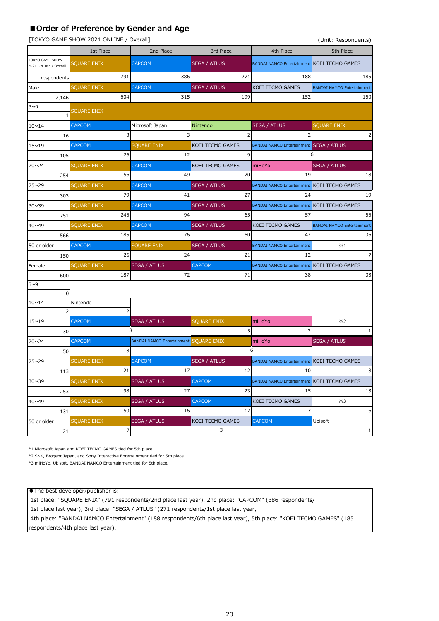#### **■Order of Preference by Gender and Age**

[TOKYO GAME SHOW 2021 ONLINE / Overall] (Unit: Respondents)

|                                          |                    |                                               |                     |                                             | $\sim$                            |  |  |
|------------------------------------------|--------------------|-----------------------------------------------|---------------------|---------------------------------------------|-----------------------------------|--|--|
| 1st Place                                |                    | 2nd Place                                     | 3rd Place           | 4th Place                                   | 5th Place                         |  |  |
| TOKYO GAME SHOW<br>2021 ONLINE / Overall | SQUARE ENIX        | <b>CAPCOM</b>                                 | <b>SEGA / ATLUS</b> | BANDAI NAMCO Entertainment KOEI TECMO GAMES |                                   |  |  |
| respondents                              | 791                | 386                                           | 271                 | 188                                         | 185                               |  |  |
| Male                                     | <b>SQUARE ENIX</b> | <b>CAPCOM</b>                                 | <b>SEGA / ATLUS</b> | KOEI TECMO GAMES                            | <b>BANDAI NAMCO Entertainment</b> |  |  |
| 2,146                                    | 604                | 315                                           | 199                 | 152                                         | 150                               |  |  |
| 3~0                                      | <b>SQUARE ENIX</b> |                                               |                     |                                             |                                   |  |  |
| $10 \sim 14$                             | <b>CAPCOM</b>      | Microsoft Japan                               | Nintendo            | <b>SEGA / ATLUS</b>                         | <b>SQUARE ENIX</b>                |  |  |
| 16                                       |                    | 3                                             |                     |                                             | 2                                 |  |  |
| $15 - 19$                                | <b>CAPCOM</b>      | <b>SQUARE ENIX</b>                            | KOEI TECMO GAMES    | BANDAI NAMCO Entertainment SEGA / ATLUS     |                                   |  |  |
| 105                                      | 26                 | 12                                            | 9                   |                                             | 6                                 |  |  |
| $20 \sim 24$                             | <b>SQUARE ENIX</b> | <b>CAPCOM</b>                                 | KOEI TECMO GAMES    | miHoYo                                      | <b>SEGA / ATLUS</b>               |  |  |
| 254                                      | 56                 | 49                                            | 20                  | 19                                          | 18                                |  |  |
| $25 \sim 29$                             | <b>SQUARE ENIX</b> | <b>CAPCOM</b>                                 | <b>SEGA / ATLUS</b> | BANDAI NAMCO Entertainment KOEI TECMO GAMES |                                   |  |  |
| 303                                      | 79                 | 41                                            | 27                  | 24                                          | 19                                |  |  |
| $30 \sim 39$                             | <b>SQUARE ENIX</b> | <b>CAPCOM</b>                                 | <b>SEGA / ATLUS</b> | BANDAI NAMCO Entertainment KOEI TECMO GAMES |                                   |  |  |
| 751                                      | 245                | 94                                            | 65                  | 57                                          | 55                                |  |  |
| 40~49                                    | <b>SQUARE ENIX</b> | <b>CAPCOM</b>                                 | <b>SEGA / ATLUS</b> | KOEI TECMO GAMES                            | <b>BANDAI NAMCO Entertainment</b> |  |  |
| 566                                      | 185                | 76                                            | 60                  | 42                                          | 36                                |  |  |
| 50 or older                              | <b>CAPCOM</b>      | <b>SQUARE ENIX</b>                            | <b>SEGA / ATLUS</b> | <b>BANDAI NAMCO Entertainment</b>           | $\times 1$                        |  |  |
| 150                                      | 26                 | 24                                            | 21                  | 12                                          | 7                                 |  |  |
| Female                                   | <b>SQUARE ENIX</b> | <b>SEGA / ATLUS</b>                           | CAPCOM              | BANDAI NAMCO Entertainment KOEI TECMO GAMES |                                   |  |  |
| 600                                      | 187                | 72                                            | 71                  | 38                                          | 33                                |  |  |
| 3~0                                      |                    |                                               |                     |                                             |                                   |  |  |
| $\mathbf 0$                              |                    |                                               |                     |                                             |                                   |  |  |
| $10 \sim 14$<br>$\overline{2}$           | Nintendo           |                                               |                     |                                             |                                   |  |  |
| $15 - 19$                                | <b>CAPCOM</b>      | <b>SEGA / ATLUS</b>                           | <b>SQUARE ENIX</b>  | miHoYo                                      | $\times 2$                        |  |  |
| 30                                       |                    | 8                                             | 5                   | 2                                           | 1                                 |  |  |
| $20 \sim 24$                             | <b>CAPCOM</b>      | <b>BANDAI NAMCO Entertainment SQUARE ENIX</b> |                     | miHoYo                                      | <b>SEGA / ATLUS</b>               |  |  |
| 50                                       | 8                  |                                               |                     | 6                                           |                                   |  |  |
| $25 \sim 29$                             | <b>SQUARE ENIX</b> | <b>CAPCOM</b>                                 | <b>SEGA / ATLUS</b> | <b>BANDAI NAMCO Entertainment</b>           | <b>KOEI TECMO GAMES</b>           |  |  |
| 113                                      | 21                 | 17                                            | 12                  | 10                                          | 8                                 |  |  |
| $30 \sim 39$                             | <b>SQUARE ENIX</b> | <b>SEGA / ATLUS</b>                           | CAPCOM              | <b>BANDAI NAMCO Entertainment</b>           | <b>KOEI TECMO GAMES</b>           |  |  |
| 253                                      | 98                 | 27                                            | 23                  | 15                                          | 13                                |  |  |
| 40~49                                    | SOUARE ENIX        | <b>SEGA / ATLUS</b>                           | CAPCOM              | KOEI TECMO GAMES                            | $\times$ 3                        |  |  |
| 131                                      | 50                 | 16                                            | 12                  | 7                                           | 6                                 |  |  |
| 50 or older                              | <b>SQUARE ENIX</b> | <b>SEGA / ATLUS</b>                           | KOEI TECMO GAMES    | <b>CAPCOM</b>                               | Ubisoft                           |  |  |
| 21                                       | 7                  |                                               | 3                   |                                             | 1                                 |  |  |

\*1 Microsoft Japan and KOEI TECMO GAMES tied for 5th place.

\*2 SNK, Brogent Japan, and Sony Interactive Entertainment tied for 5th place.

\*3 miHoYo, Ubisoft, BANDAI NAMCO Entertainment tied for 5th place.

●The best developer/publisher is:

1st place: "SQUARE ENIX" (791 respondents/2nd place last year), 2nd place: "CAPCOM" (386 respondents/

1st place last year), 3rd place: "SEGA / ATLUS" (271 respondents/1st place last year,

 4th place: "BANDAI NAMCO Entertainment" (188 respondents/6th place last year), 5th place: "KOEI TECMO GAMES" (185 respondents/4th place last year).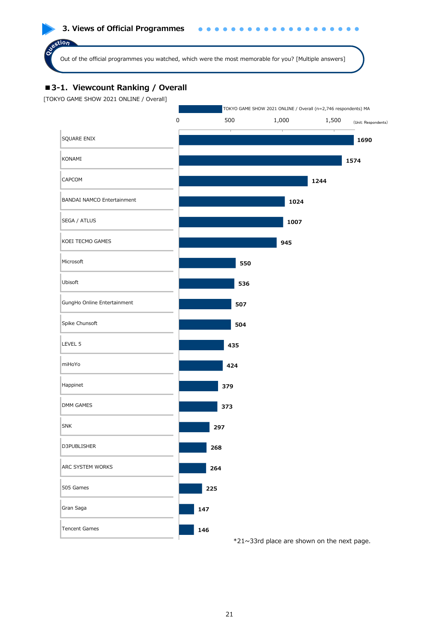#### **3. Views of Official Programmes**

Out of the official programmes you watched, which were the most memorable for you? [Multiple answers]

# ■3-1. Viewcount Ranking / Overall

[TOKYO GAME SHOW 2021 ONLINE / Overall]

stion

Oue

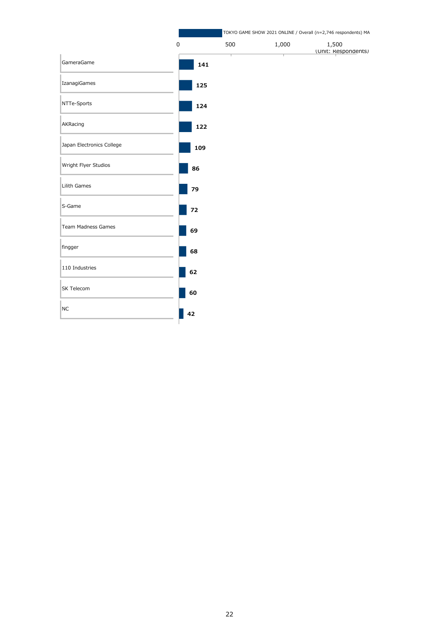|                           |             |     | TOKYO GAME SHOW 2021 ONLINE / Overall (n=2,746 respondents) MA |                              |  |  |  |  |  |
|---------------------------|-------------|-----|----------------------------------------------------------------|------------------------------|--|--|--|--|--|
|                           | $\mathsf 0$ | 500 | 1,000                                                          | 1,500<br>(Unit: Respondents) |  |  |  |  |  |
| GameraGame                |             | 141 |                                                                |                              |  |  |  |  |  |
| IzanagiGames              |             | 125 |                                                                |                              |  |  |  |  |  |
| NTTe-Sports               |             | 124 |                                                                |                              |  |  |  |  |  |
| AKRacing                  | 122         |     |                                                                |                              |  |  |  |  |  |
| Japan Electronics College | 109         |     |                                                                |                              |  |  |  |  |  |
| Wright Flyer Studios      | 86          |     |                                                                |                              |  |  |  |  |  |
| Lilith Games              | 79          |     |                                                                |                              |  |  |  |  |  |
| S-Game                    | 72          |     |                                                                |                              |  |  |  |  |  |
| Team Madness Games        | 69          |     |                                                                |                              |  |  |  |  |  |
| fingger                   | 68          |     |                                                                |                              |  |  |  |  |  |
| 110 Industries            | 62          |     |                                                                |                              |  |  |  |  |  |
| SK Telecom                | 60          |     |                                                                |                              |  |  |  |  |  |
| <b>NC</b>                 | 42          |     |                                                                |                              |  |  |  |  |  |
|                           |             |     |                                                                |                              |  |  |  |  |  |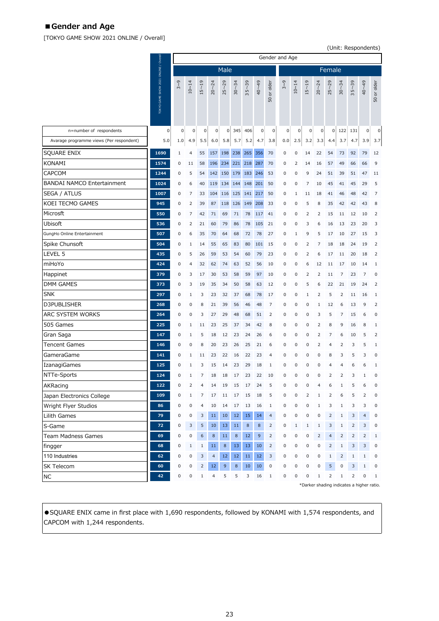# **■Gender and Age**

[TOKYO GAME SHOW 2021 ONLINE / Overall]

re in F Г

(Unit: Respondents)

|                                          |                                      | Gender and Age |                |                  |                |                 |           |                    |              |                |             |           |             |                |                |                |                                           |                |                |
|------------------------------------------|--------------------------------------|----------------|----------------|------------------|----------------|-----------------|-----------|--------------------|--------------|----------------|-------------|-----------|-------------|----------------|----------------|----------------|-------------------------------------------|----------------|----------------|
|                                          |                                      |                |                |                  |                | Male            |           |                    |              |                |             |           |             |                | Female         |                |                                           |                |                |
|                                          | TOKYO GAME SHOW 2021 ONLINE / Overal | 3~9            | $10 - 14$      | $15 - 19$        | $20 - 24$      | $25 - 29$       | $30 - 34$ | $5 - 39$<br>$\sim$ | 40~49        | or older<br>50 | 3~9         | $10 - 14$ | $15 - 19$   | $20 - 24$      | $25 - 29$      | $30 - 34$      | $5 - 39$<br>ω                             | $40 - 49$      | 50 or older    |
| n=number of respondents                  | $\mathsf 0$                          | 0              | 0              | $\pmb{0}$        | $\overline{0}$ | $\overline{0}$  | 345       | 406                | 0            | $\pmb{0}$      | $\mathbf 0$ | 0         | $\mathbf 0$ | $\mathbf 0$    | $\overline{0}$ | 122            | 131                                       | 0              | 0              |
| Avarage programme views (Per respondent) | 5.0                                  | 1.0            | 4.9            | 5.5              | 6.0            | 5.8             | 5.7       | 5.2                | 4.7          | 3.8            | 0.0         | 2.5       | 3.2         | 3.3            | 4.4            | 3.7            | 4.7                                       | 3.9            | 3.7            |
| SQUARE ENIX                              | 1690                                 | $1\,$          | 4              | 55               | 157            | 198             | 238       | 265                | 356          | 70             | 0           | 0         | 14          | 22             | 54             | 73             | 92                                        | 79             | 12             |
| <b>KONAMI</b>                            | 1574                                 | 0              | 11             | 58               | 196            | 234             | 221       | 218                | 287          | 70             | 0           | 2         | 14          | 16             | 57             | 49             | 66                                        | 66             | 9              |
| CAPCOM                                   | 1244                                 | 0              | 5              | 54               | 142            | 150             | 179       | 183                | 246          | 53             | 0           | 0         | 9           | 24             | 51             | 39             | 51                                        | 47             | 11             |
| <b>BANDAI NAMCO Entertainment</b>        | 1024                                 | 0              | 6              | 40               | 119            | 134             | 144       | 148                | 201          | 50             | 0           | 0         | 7           | 10             | 45             | 41             | 45                                        | 29             | 5              |
| SEGA / ATLUS                             | 1007                                 | 0              | 7              | 33               | 104            | 116             | 125       | 141 217            |              | 50             | 0           | 1         | 11          | 18             | 41             | 46             | 48                                        | 42             | 7              |
| KOEI TECMO GAMES                         | 945                                  | 0              | 2              | 39               | 87             | 118             | 126       | 149                | 208          | 33             | 0           | 0         | 5           | 8              | 35             | 42             | 42                                        | 43             | 8              |
| Microsft                                 | 550                                  | 0              | 7              | 42               | 71             | 69              | 71        | 78                 | 117          | 41             | 0           | 0         | 2           | 2              | 15             | 11             | 12                                        | 10             | 2              |
| Ubisoft                                  | 536                                  | 0              | 2              | 21               | 60             | 79              | 86        | 78                 | 105          | 21             | 0           | 0         | 3           | 6              | 16             | 13             | 23                                        | 20             | 3              |
| GungHo Online Entertainment              | 507                                  | 0              | 6              | 35               | 70             | 64              | 68        | 72                 | 78           | 27             | 0           | 1         | 9           | 5              | 17             | 10             | 27                                        | 15             | 3              |
| Spike Chunsoft                           | 504                                  | 0              | $\mathbf{1}$   | 14               | 55             | 65              | 83        | 80                 | 101          | 15             | 0           | 0         | 2           | 7              | 18             | 18             | 24                                        | 19             | $\overline{2}$ |
| LEVEL 5                                  | 435                                  | 0              | 5              | 26               | 59             | 53              | 54        | 60                 | 79           | 23             | 0           | 0         | 2           | 6              | 17             | 11             | 20                                        | 18             | $\overline{2}$ |
| miHoYo                                   | 424                                  | 0              | 4              | 32               | 62             | 74              | 63        | 52                 | 56           | 10             | 0           | 0         | 6           | 12             | 11             | 17             | 10                                        | 14             | $\mathbf{1}$   |
| Happinet                                 | 379                                  | 0              | 3              | 17               | 30             | 53              | 58        | 59                 | 97           | 10             | 0           | 0         | 2           | 2              | 11             | 7              | 23                                        | 7              | 0              |
| <b>DMM GAMES</b>                         | 373                                  | 0              | 3              | 19               | 35             | 34              | 50        | 58                 | 63           | 12             | 0           | 0         | 5           | 6              | 22             | 21             | 19                                        | 24             | 2              |
| <b>SNK</b>                               | 297                                  | 0              | 1              | 3                | 23             | 32              | 37        | 68                 | 78           | 17             | 0           | 0         | 1           | $\overline{2}$ | 5              | 2              | 11                                        | 16             | $1\,$          |
| D3PUBLISHER                              | 268                                  | 0              | 0              | 8                | 21             | 39              | 56        | 46                 | 48           | $\overline{7}$ | 0           | 0         | 0           | $\mathbf{1}$   | 12             | 6              | 13                                        | 9              | $\mathbf 2$    |
| ARC SYSTEM WORKS                         | 264                                  | 0              | 0              | 3                | 27             | 29              | 48        | 68                 | 51           | $\overline{2}$ | 0           | 0         | 0           | 3              | 5              | $\overline{7}$ | 15                                        | 6              | 0              |
| 505 Games                                | 225                                  | 0              | 1              | 11               | 23             | 25              | 37        | 34                 | 42           | 8              | 0           | 0         | 0           | $\overline{2}$ | 8              | 9              | 16                                        | 8              | $\mathbf{1}$   |
| Gran Saga                                | 147                                  | 0              | $\mathbf{1}$   | 5                | 18             | 12              | 23        | 24                 | 26           | 6              | 0           | 0         | 0           | $\overline{2}$ | 7              | 6              | 10                                        | 5              | $\overline{2}$ |
| <b>Tencent Games</b>                     | 146                                  | 0              | 0              | 8                | 20             | 23              | 26        | 25                 | 21           | 6              | 0           | 0         | 0           | $\overline{2}$ | 4              | $\overline{2}$ | 3                                         | 5              | $\mathbf 1$    |
| GameraGame                               | 141                                  | 0              | $\mathbf{1}$   | 11               | 23             | 22              | 16        | 22                 | 23           | 4              | 0           | 0         | 0           | 0              | 8              | 3              | 5                                         | 3              | 0              |
| IzanagiGames                             | 125                                  | 0              | $\mathbf{1}$   | 3                | 15             | 14              | 23        | 29                 | 18           | $1\,$          | 0           | 0         | 0           | 0              | 4              | 4              | 6                                         | 6              | $\mathbf{1}$   |
| NTTe-Sports                              | 124                                  | 0              | $\mathbf{1}$   | 7                | 18             | 18              | 17        | 23                 | 22           | 10             | 0           | 0         | 0           | 0              | $\overline{2}$ | $\overline{2}$ | 3                                         | $\mathbf{1}$   | 0              |
| AKRacing                                 | 122                                  | $\Omega$       | $\overline{2}$ | $\overline{4}$   | 14             | 19              | 15        | 17                 | 24           | 5              | $\Omega$    | $\Omega$  | $\Omega$    | $\overline{4}$ | 6              | $\mathbf{1}$   | 5                                         | 6              | $\Omega$       |
| Japan Electronics College                | 109                                  | 0              | $\mathbf{1}$   | 7                | 17             | 11              | 17        | 15                 | 18           | 5              | 0           | 0         | 2           | $\mathbf{1}$   | 2              | 6              | 5                                         | 2              | 0              |
| Wright Flyer Studios                     | 86                                   | 0              | $\pmb{0}$      | $\overline{4}$   | 10             | 14              | 17        | 13                 | 16           | $1\,$          | 0           | 0         | 0           | $1\,$          | 3              | $1\,$          | 3                                         | 3              | $\mathsf 0$    |
| Lilith Games                             | 79                                   | 0              | 0              | 3                | 11             | 10 <sup>°</sup> | 12        | 15                 | 14           | $\overline{4}$ | $\pmb{0}$   | 0         | 0           | 0              | $\overline{2}$ | $\mathbf{1}$   | 3                                         | $\overline{4}$ | $\pmb{0}$      |
| S-Game                                   | 72                                   | 0              | 3              | 5                | 10             | 13              | 11        | $\bf8$             | $\bf8$       | $\sqrt{2}$     | $\pmb{0}$   | $\,1\,$   | $1\,$       | $\,1\,$        | 3              | $1\,$          | $\sqrt{2}$                                | 3              | $\pmb{0}$      |
| <b>Team Madness Games</b>                | 69                                   | 0              | 0              | $\boldsymbol{6}$ | $\bf8$         | 11              | 8         | 12                 | $\mathsf{9}$ | $\overline{2}$ | 0           | 0         | 0           | $\overline{2}$ | $\overline{4}$ | $\overline{2}$ | $\overline{2}$                            | 2              | $1\,$          |
| fingger                                  | 68                                   | 0              | $\mathbf{1}$   | $\mathbf{1}$     | 11             | $\bf8$          | 13        | 13                 | 10           | $\overline{2}$ | 0           | 0         | 0           | $\pmb{0}$      | 2              | $\mathbf{1}$   | 3                                         | 3              | $\mathsf 0$    |
| 110 Industries                           | 62                                   | 0              | 0              | 3                | $\overline{4}$ | 12              | 12        | $11\,$             | 12           | 3              | 0           | 0         | 0           | 0              | $1\,$          | $\overline{2}$ | $\mathbf{1}$                              | $\mathbf{1}$   | 0              |
| <b>SK Telecom</b>                        | 60                                   | 0              | 0              | $\overline{2}$   | 12             | $\mathsf 9$     | 8         | 10                 | 10           | $\pmb{0}$      | 0           | 0         | 0           | $\pmb{0}$      | 5              | $\pmb{0}$      | 3                                         | $\mathbf{1}$   | 0              |
| <b>NC</b>                                | 42                                   | 0              | $\pmb{0}$      | $1\,$            | $\overline{4}$ | 5               | 5         | 3                  | 16           | $\mathbf{1}$   | 0           | 0         | 0           | $1\,$          | $\overline{2}$ | $\mathbf{1}$   | 2                                         | 0              | $\mathbf{1}$   |
|                                          |                                      |                |                |                  |                |                 |           |                    |              |                |             |           |             |                |                |                | *Darker shading indicates a higher ratio. |                |                |

● SQUARE ENIX came in first place with 1,690 respondents, followed by KONAMI with 1,574 respondents, and CAPCOM with 1,244 respondents.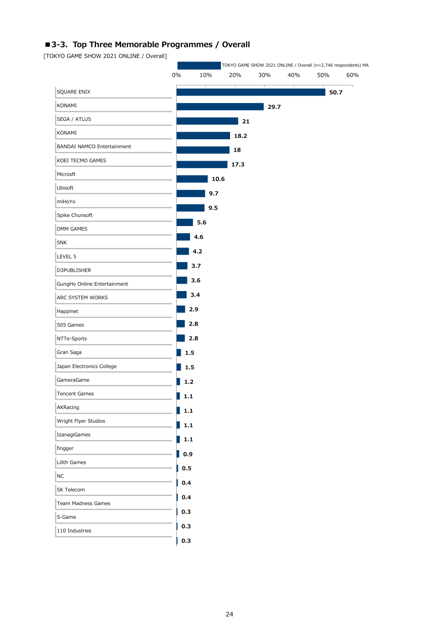# ■3-3. Top Three Memorable Programmes / Overall

[TOKYO GAME SHOW 2021 ONLINE / Overall]

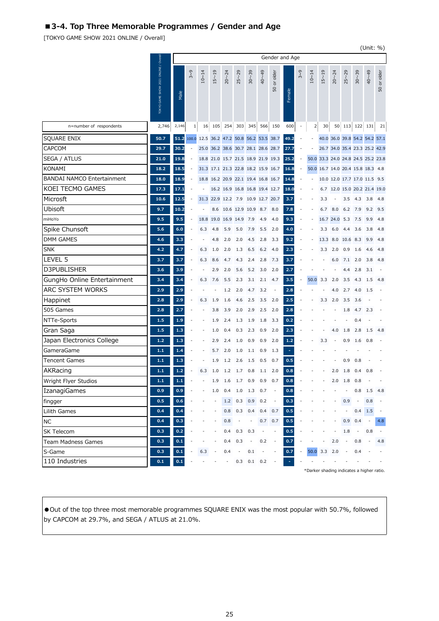# **■3-4. Top Three Memorable Programmes / Gender and Age**

[TOKYO GAME SHOW 2021 ONLINE / Overall]

|                                   |                                    |         |                |                                          |                    |                          |           |                          |                                    |                |                |                          |           |                                    |                   |                          |                               |           | (Unit: %)                |
|-----------------------------------|------------------------------------|---------|----------------|------------------------------------------|--------------------|--------------------------|-----------|--------------------------|------------------------------------|----------------|----------------|--------------------------|-----------|------------------------------------|-------------------|--------------------------|-------------------------------|-----------|--------------------------|
|                                   |                                    |         |                |                                          |                    |                          |           |                          |                                    |                | Gender and Age |                          |           |                                    |                   |                          |                               |           |                          |
|                                   | TOKYO GAME SHOW 2021 ONLINE / Over | Male    | 3~9            | $10 - 14$                                | $15 - 19$          | $20 - 24$                | $25 - 29$ | $30 - 39$                | $40 - 49$                          | or older<br>50 | Female         | 3~9                      | $10 - 14$ | $15 - 19$                          | $20 - 24$         | $25 - 29$                | $30 - 39$                     | $40 - 49$ | or older<br>50           |
|                                   |                                    |         |                |                                          |                    |                          |           |                          |                                    |                |                |                          |           |                                    |                   |                          |                               |           |                          |
| n=number of respondents           | 2,746                              | 2,146   | 1              | 16                                       | 105                | 254                      | 303       | 345                      | 566                                | 150            | 600            |                          | 2         | 30                                 | 50                |                          | 113 122 131                   |           | 21                       |
| <b>SQUARE ENIX</b>                | 50.7                               | 51.2    |                | 100.0 12.5 36.2 47.2 50.8 56.2 53.5 38.7 |                    |                          |           |                          |                                    |                | 49.2           |                          |           |                                    |                   |                          | 40.0 36.0 39.8 54.2 54.2 57.1 |           |                          |
| <b>CAPCOM</b>                     | 29.7                               | 30.2    | $\overline{a}$ |                                          |                    |                          |           |                          | 25.0 36.2 38.6 30.7 28.1 28.6 28.7 |                | 27.7           |                          |           |                                    |                   |                          | 26.7 34.0 35.4 23.3 25.2 42.9 |           |                          |
| <b>SEGA / ATLUS</b>               | 21.0                               | 19.8    | ÷              |                                          |                    |                          |           |                          | 18.8 21.0 15.7 21.5 18.9 21.9 19.3 |                | 25.2           | $\overline{\phantom{a}}$ |           | 50.0 33.3 24.0 24.8 24.5 25.2 23.8 |                   |                          |                               |           |                          |
| <b>KONAMI</b>                     | 18.2                               | 18.5    | ÷              |                                          |                    |                          |           |                          | 31.3 17.1 21.3 22.8 18.2 15.9 16.7 |                | 16.8           | L,                       |           | 50.0 16.7 14.0 20.4 15.8 18.3 4.8  |                   |                          |                               |           |                          |
| <b>BANDAI NAMCO Entertainment</b> | 18.0                               | 18.9    | $\overline{a}$ |                                          |                    |                          |           |                          | 18.8 16.2 20.9 22.1 19.4 16.8 16.7 |                | 14.8           | ÷,                       |           |                                    |                   |                          | 10.0 12.0 17.7 17.0 11.5 9.5  |           |                          |
| KOEI TECMO GAMES                  | 17.3                               | 17.1    |                |                                          |                    |                          |           |                          | 16.2 16.9 16.8 16.8 19.4 12.7      |                | 18.0           |                          |           | 6.7                                |                   |                          | 12.0 15.0 20.2 21.4 19.0      |           |                          |
| Microsft                          | 10.6                               | 12.5    |                |                                          | 31.3 22.9 12.2 7.9 |                          |           |                          | 10.9 12.7 20.7                     |                | 3.7            |                          |           | 3.3                                |                   | 3.5                      | 4.3                           | 3.8       | 4.8                      |
| <b>Ubisoft</b>                    | 9.7                                | 10.2    |                |                                          |                    |                          |           | 8.6 10.6 12.9 10.9 8.7   |                                    | 8.0            | 7.8            |                          |           | 6.7                                | 8.0               | 6.2 7.9                  |                               | 9.2       | 9.5                      |
| miHoYo                            | 9.5                                | 9.5     |                | 18.8                                     |                    | 19.0 16.9 14.9           |           | 7.9                      | 4.9                                | 4.0            | 9.3            |                          |           |                                    | 16.7 24.0         | 5.3                      | 7.5                           | 9.9       | 4.8                      |
| Spike Chunsoft                    | 5.6                                | 6.0     | ÷              | 6.3                                      | 4.8                | 5.9                      | 5.0       | 7.9                      | 5.5                                | 2.0            | 4.0            |                          |           | 3.3                                | 6.0               | 4.4                      | 3.6                           | 3.8       | 4.8                      |
| <b>DMM GAMES</b>                  | 4.6                                | 3.3     |                |                                          | 4.8                | 2.0                      | 2.0       | 4.5                      | 2.8                                | 3.3            | 9.2            |                          |           |                                    | 13.3 8.0 10.6 8.3 |                          |                               | 9.9       | 4.8                      |
| <b>SNK</b>                        | 4.2                                | 4.7     |                | 6.3                                      | 1.0                | 2.0                      | 1.3       | 6.5                      | 6.2                                | 4.0            | 2.3            |                          |           | 3.3                                | 2.0               | 0.9                      | 1.6                           | 4.6       | 4.8                      |
| LEVEL 5                           | 3.7                                | 3.7     |                | 6.3                                      | 8.6                | 4.7                      | 4.3       | 2.4                      | 2.8                                | 7.3            | 3.7            |                          |           |                                    | 6.0               | 7.1                      | 2.0                           | 3.8       | 4.8                      |
| <b>D3PUBLISHER</b>                | 3.6                                | 3.9     |                |                                          | 2.9                | 2.0                      | 5.6       | 5.2                      | 3.0                                | 2.0            | 2.7            |                          |           |                                    |                   | 4.4                      | 2.8                           | 3.1       |                          |
| GungHo Online Entertainment       | 3.4                                | 3.4     |                | 6.3                                      | 7.6                | 5.5                      | 2.3       | 3.1                      | 2.1                                | 4.7            | 3.5            |                          | 50.0      | 3.3                                | 2.0               | 3.5                      | 4.3                           | 1.5       | -4.8                     |
| ARC SYSTEM WORKS                  | 2.9                                | 2.9     |                |                                          |                    | 1.2                      | 2.0       | 4.7                      | 3.2                                |                | 2.8            |                          |           |                                    | 4.0               | 2.7                      | 4.0                           | 1.5       |                          |
| Happinet                          | 2.8                                | 2.9     |                | 6.3                                      | 1.9                | 1.6                      | 4.6       | 2.5                      | 3.5                                | 2.0            | 2.5            |                          |           | 3.3                                | 2.0               | 3.5                      | 3.6                           |           |                          |
| 505 Games                         | 2.8                                | 2.7     |                |                                          | 3.8                | 3.9                      | 2.0       | 2.9                      | 2.5                                | 2.0            | 2.8            |                          |           |                                    |                   | 1.8                      | 4.7                           | 2.3       |                          |
| NTTe-Sports                       | 1.5                                | 1.9     |                |                                          | 1.9                | 2.4                      | 1.3       | 1.9                      | 1.8                                | 3.3            | 0.2            |                          |           |                                    |                   |                          | 0.4                           |           |                          |
| Gran Saga                         | 1.5                                | 1.3     |                |                                          | 1.0                | 0.4                      | 0.3       | 2.3                      | 0.9                                | 2.0            | 2.3            |                          |           |                                    | 4.0               | 1.8                      | 2.8                           | 1.5       | 4.8                      |
| Japan Electronics College         | 1.2                                | 1.3     |                |                                          | 2.9                | 2.4                      | 1.0       | 0.9                      | 0.9                                | 2.0            | 1.2            |                          |           | 3.3                                |                   | 0.9                      | 1.6                           | 0.8       |                          |
| GameraGame                        | 1.1                                | 1.4     |                |                                          | 5.7                | 2.0                      | 1.0       | 1.1                      | 0.9                                | 1.3            |                |                          |           |                                    |                   |                          |                               |           |                          |
| <b>Tencent Games</b>              | $1.1$                              | 1.3     |                |                                          | 1.9                | 1.2                      | 2.6       | 1.5                      | 0.5                                | 0.7            | 0.5            |                          |           |                                    |                   | 0.9                      | 0.8                           |           |                          |
| AKRacing                          | 1.1                                | 1.2     |                | 6.3                                      | 1.0                | 1.2                      | 1.7       | 0.8                      | 1.1                                | 2.0            | 0.8            |                          |           |                                    | 2.0               | 1.8                      | 0.4                           | 0.8       |                          |
| Wright Flyer Studios              | $1.1$                              | 1.1     |                |                                          | 1.9                | 1.6                      | 1.7       | 0.9                      | 0.9                                | 0.7            | 0.8            |                          |           |                                    | 2.0               | 1.8                      | 0.8                           |           |                          |
| IzanagiGames                      | 0.9                                | 0.9     |                |                                          | 1.0                | 0.4                      | 1.0       | 1.3                      | 0.7                                |                | 0.8            |                          |           |                                    |                   |                          | 0.8                           | 1.5       | 4.8                      |
| fingger                           | 0.5                                | 0.6     |                |                                          |                    | 1.2                      | 0.3       | 0.9                      | 0.2                                | $\overline{a}$ | 0.3            |                          |           |                                    |                   | 0.9                      | $\overline{\phantom{a}}$      | 0.8       |                          |
| Lilith Games                      | 0.4                                | 0.4     |                |                                          |                    | 0.8                      | 0.3       | 0.4                      | 0.4                                | 0.7            | 0.5            |                          |           |                                    |                   |                          | 0.4                           | 1.5       |                          |
| <b>NC</b>                         | 0.4                                | 0.3     |                |                                          |                    | 0.8                      |           |                          | 0.7                                | 0.7            | 0.5            |                          |           |                                    |                   | 0.9                      | 0.4                           |           | 4.8                      |
| <b>SK Telecom</b>                 | 0.3                                | 0.2     |                |                                          |                    | 0.4                      | 0.3       | 0.3                      | $\overline{a}$                     | $\overline{a}$ | 0.5            |                          |           |                                    |                   | 1.8                      | $\overline{\phantom{a}}$      | 0.8       | $\overline{\phantom{a}}$ |
| <b>Team Madness Games</b>         | 0.3                                | $0.1\,$ |                |                                          |                    | 0.4                      | 0.3       | $\overline{\phantom{a}}$ | 0.2                                |                | 0.7            |                          |           |                                    | 2.0               | $\overline{\phantom{a}}$ | 0.8                           |           | 4.8                      |
| S-Game                            | 0.3                                | 0.1     |                | 6.3                                      |                    | 0.4                      |           | 0.1                      |                                    |                | 0.7            |                          | 50.0      | 3.3                                | 2.0               |                          | 0.4                           |           |                          |
| 110 Industries                    | 0.1                                | 0.1     |                |                                          |                    | $\overline{\phantom{a}}$ | 0.3       | $0.1 \quad 0.2$          |                                    |                |                | $\overline{a}$           |           |                                    |                   |                          |                               |           |                          |

\*Darker shading indicates a higher ratio.

●Out of the top three most memorable programmes SQUARE ENIX was the most popular with 50.7%, followed by CAPCOM at 29.7%, and SEGA / ATLUS at 21.0%.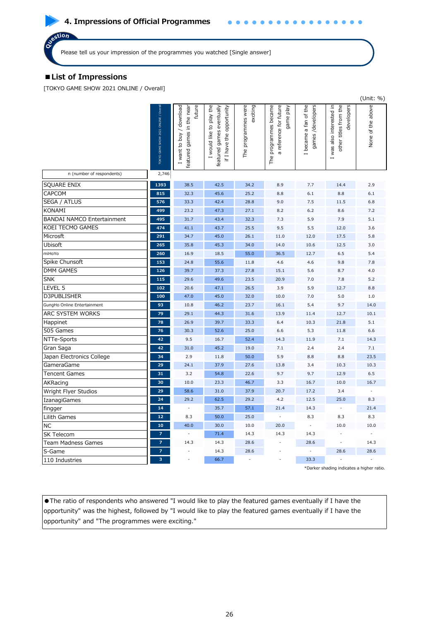# **■List of Impressions**

[TOKYO GAME SHOW 2021 ONLINE / Overall]

|                                                                                                                                                                                                                                                                              |                                   |                                                                  |                                                                                    |                                 |                                                                        |                                                      |                                                                 | (Unit: %)                |
|------------------------------------------------------------------------------------------------------------------------------------------------------------------------------------------------------------------------------------------------------------------------------|-----------------------------------|------------------------------------------------------------------|------------------------------------------------------------------------------------|---------------------------------|------------------------------------------------------------------------|------------------------------------------------------|-----------------------------------------------------------------|--------------------------|
|                                                                                                                                                                                                                                                                              | TOKYO GAME SHOW 2021 ONLINE / Ove | future<br>I want to buy / download<br>featured games in the near | I would like to play the<br>featured games eventually<br>if I have the opportunity | The programmes were<br>exciting | The programmes became<br>reference for future<br>game play<br>$\sigma$ | became a fan of the<br>games/developers<br>$\mapsto$ | I was also interested in<br>other titles from the<br>developers | None of the above        |
| n (number of respondents)                                                                                                                                                                                                                                                    | 2,746                             |                                                                  |                                                                                    |                                 |                                                                        |                                                      |                                                                 |                          |
| <b>SOUARE ENIX</b>                                                                                                                                                                                                                                                           | 1393                              | 38.5                                                             | 42.5                                                                               | 34.2                            | 8.9                                                                    | 7.7                                                  | 14.4                                                            | 2.9                      |
| CAPCOM                                                                                                                                                                                                                                                                       | 815                               | 32.3                                                             | 45.6                                                                               | 25.2                            | 8.8                                                                    | 6.1                                                  | 8.8                                                             | 6.1                      |
| <b>SEGA / ATLUS</b>                                                                                                                                                                                                                                                          | 576                               | 33.3                                                             | 42.4                                                                               | 28.8                            | 9.0                                                                    | 7.5                                                  | 11.5                                                            | 6.8                      |
| <b>KONAMI</b>                                                                                                                                                                                                                                                                | 499                               | 23.2                                                             | 47.3                                                                               | 27.1                            | 8.2                                                                    | 6.2                                                  | 8.6                                                             | 7.2                      |
| <b>BANDAI NAMCO Entertainment</b>                                                                                                                                                                                                                                            | 495                               | 31.7                                                             | 43.4                                                                               | 32.3                            | 7.3                                                                    | 5.9                                                  | 7.9                                                             | 5.1                      |
| KOEI TECMO GAMES                                                                                                                                                                                                                                                             | 474                               | 41.1                                                             | 43.7                                                                               | 25.5                            | 9.5                                                                    | 5.5                                                  | 12.0                                                            | 3.6                      |
| Microsft                                                                                                                                                                                                                                                                     | 291                               | 34.7                                                             | 45.0                                                                               | 26.1                            | 11.0                                                                   | 12.0                                                 | 17.5                                                            | 5.8                      |
| Ubisoft                                                                                                                                                                                                                                                                      | 265                               | 35.8                                                             | 45.3                                                                               | 34.0                            | 14.0                                                                   | 10.6                                                 | 12.5                                                            | 3.0                      |
| miHoYo                                                                                                                                                                                                                                                                       | 260                               | 16.9                                                             | 18.5                                                                               | 55.0                            | 36.5                                                                   | 12.7                                                 | 6.5                                                             | 5.4                      |
| Spike Chunsoft                                                                                                                                                                                                                                                               | 153                               | 24.8                                                             | 55.6                                                                               | 11.8                            | 4.6                                                                    | 4.6                                                  | 9.8                                                             | 7.8                      |
| <b>DMM GAMES</b>                                                                                                                                                                                                                                                             | 126                               | 39.7                                                             | 37.3                                                                               | 27.8                            | 15.1                                                                   | 5.6                                                  | 8.7                                                             | 4.0                      |
| <b>SNK</b>                                                                                                                                                                                                                                                                   | 115                               | 29.6                                                             | 49.6                                                                               | 23.5                            | 20.9                                                                   | 7.0                                                  | 7.8                                                             | 5.2                      |
| LEVEL 5                                                                                                                                                                                                                                                                      | 102                               | 20.6                                                             | 47.1                                                                               | 26.5                            | 3.9                                                                    | 5.9                                                  | 12.7                                                            | 8.8                      |
| D3PUBLISHER                                                                                                                                                                                                                                                                  | 100                               | 47.0                                                             | 45.0                                                                               | 32.0                            | 10.0                                                                   | 7.0                                                  | 5.0                                                             | 1.0                      |
| GungHo Online Entertainment                                                                                                                                                                                                                                                  | 93                                | 10.8                                                             | 46.2                                                                               | 23.7                            | 16.1                                                                   | 5.4                                                  | 9.7                                                             | 14.0                     |
| ARC SYSTEM WORKS                                                                                                                                                                                                                                                             | 79                                | 29.1                                                             | 44.3                                                                               | 31.6                            | 13.9                                                                   | 11.4                                                 | 12.7                                                            | 10.1                     |
| Happinet                                                                                                                                                                                                                                                                     | 78                                | 26.9                                                             | 39.7                                                                               | 33.3                            | 6.4                                                                    | 10.3                                                 | 21.8                                                            | 5.1                      |
| 505 Games                                                                                                                                                                                                                                                                    | 76                                | 30.3                                                             | 52.6                                                                               | 25.0                            | 6.6                                                                    | 5.3                                                  | 11.8                                                            | 6.6                      |
| NTTe-Sports                                                                                                                                                                                                                                                                  | 42                                | 9.5                                                              | 16.7                                                                               | 52.4                            | 14.3                                                                   | 11.9                                                 | 7.1                                                             | 14.3                     |
| Gran Saga                                                                                                                                                                                                                                                                    | 42                                | 31.0                                                             | 45.2                                                                               | 19.0                            | 7.1                                                                    | 2.4                                                  | 2.4                                                             | 7.1                      |
| Japan Electronics College                                                                                                                                                                                                                                                    | 34                                | 2.9                                                              | 11.8                                                                               | 50.0                            | 5.9                                                                    | 8.8                                                  | 8.8                                                             | 23.5                     |
| GameraGame                                                                                                                                                                                                                                                                   | 29                                | 24.1                                                             | 37.9                                                                               | 27.6                            | 13.8                                                                   | 3.4                                                  | 10.3                                                            | 10.3                     |
| Tencent Games                                                                                                                                                                                                                                                                | 31                                | 3.2                                                              | 54.8                                                                               | 22.6                            | 9.7                                                                    | 9.7                                                  | 12.9                                                            | 6.5                      |
| AKRacing                                                                                                                                                                                                                                                                     | 30                                | 10.0                                                             | 23.3                                                                               | 46.7                            | 3.3                                                                    | 16.7                                                 | 10.0                                                            | 16.7                     |
| Wright Flyer Studios                                                                                                                                                                                                                                                         | 29                                | 58.6                                                             | 31.0                                                                               | 37.9                            | 20.7                                                                   | 17.2                                                 | 3.4                                                             |                          |
| IzanagiGames                                                                                                                                                                                                                                                                 | 24                                | 29.2                                                             | 62.5                                                                               | 29.2                            | 4.2                                                                    | 12.5                                                 | 25.0                                                            | 8.3                      |
| fingger                                                                                                                                                                                                                                                                      | 14                                |                                                                  | 35.7                                                                               | 57.1                            | 21.4                                                                   | 14.3                                                 |                                                                 | 21.4                     |
| Lilith Games                                                                                                                                                                                                                                                                 | 12                                | 8.3                                                              | 50.0                                                                               | 25.0                            |                                                                        | 8.3                                                  | 8.3                                                             | 8.3                      |
| <b>NC</b>                                                                                                                                                                                                                                                                    | 10                                | 40.0                                                             | 30.0                                                                               | 10.0                            | 20.0                                                                   |                                                      | 10.0                                                            | 10.0                     |
| SK Telecom                                                                                                                                                                                                                                                                   | $\overline{z}$                    | $\overline{\phantom{a}}$                                         | 71.4                                                                               | 14.3                            | 14.3                                                                   | 14.3                                                 |                                                                 | $\overline{\phantom{a}}$ |
| <b>Team Madness Games</b>                                                                                                                                                                                                                                                    | $\overline{z}$                    | 14.3                                                             | 14.3                                                                               | 28.6                            |                                                                        | 28.6                                                 |                                                                 | 14.3                     |
| S-Game                                                                                                                                                                                                                                                                       | $\overline{z}$                    |                                                                  | 14.3                                                                               | 28.6                            |                                                                        |                                                      | 28.6                                                            | 28.6                     |
| 110 Industries                                                                                                                                                                                                                                                               | 3                                 |                                                                  | 66.7                                                                               |                                 |                                                                        | 33.3                                                 | *Darker shading indicates a higher ratio.                       |                          |
|                                                                                                                                                                                                                                                                              |                                   |                                                                  |                                                                                    |                                 |                                                                        |                                                      |                                                                 |                          |
| • The ratio of respondents who answered "I would like to play the featured games eventually if I have the<br>opportunity" was the highest, followed by "I would like to play the featured games eventually if I have the<br>opportunity" and "The programmes were exciting." |                                   |                                                                  |                                                                                    |                                 |                                                                        |                                                      |                                                                 |                          |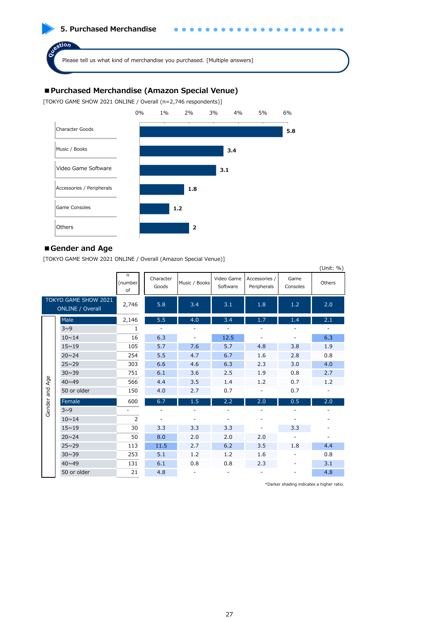

# **■Purchased Merchandise (Amazon Special Venue)**

[TOKYO GAME SHOW 2021 ONLINE / Overall (n=2,746 respondents)]



#### **■Gender and Age**

[TOKYO GAME SHOW 2021 ONLINE / Overall (Amazon Special Venue)]

|        |                                                 |                    |                          |                          |                        |                              |                  | (Unit: %)                |
|--------|-------------------------------------------------|--------------------|--------------------------|--------------------------|------------------------|------------------------------|------------------|--------------------------|
|        |                                                 | n<br>(number<br>of | Character<br>Goods       | Music / Books            | Video Game<br>Software | Accessories /<br>Peripherals | Game<br>Consoles | Others                   |
|        | TOKYO GAME SHOW 2021<br><b>ONLINE / Overall</b> | 2,746              | 5.8                      | 3.4                      | 3.1                    | 1.8                          | 1.2              | 2.0                      |
|        | Male                                            | 2,146              | 5.5                      | 4.0                      | 3.4                    | 1.7                          | 1.4              | 2.1                      |
|        | $3^0$                                           | $\mathbf{1}$       | $\overline{\phantom{a}}$ | $\overline{\phantom{m}}$ |                        |                              |                  | $\overline{\phantom{a}}$ |
|        | $10 \sim 14$                                    | 16                 | 6.3                      | $\overline{\phantom{a}}$ | 12.5                   |                              |                  | 6.3                      |
|        | $15 \sim 19$                                    | 105                | 5.7                      | 7.6                      | 5.7                    | 4.8                          | 3.8              | 1.9                      |
|        | $20 \sim 24$                                    | 254                | 5.5                      | 4.7                      | 6.7                    | 1.6                          | 2.8              | 0.8                      |
|        | $25 \sim 29$                                    | 303                | 6.6                      | 4.6                      | 6.3                    | 2.3                          | 3.0              | 4.0                      |
|        | $30 \sim 39$                                    | 751                | 6.1                      | 3.6                      | 2.5                    | 1.9                          | 0.8              | 2.7                      |
| Age    | $40 \times 49$                                  | 566                | 4.4                      | 3.5                      | 1.4                    | 1.2                          | 0.7              | 1.2                      |
| and    | 50 or older                                     | 150                | 4.0                      | 2.7                      | 0.7                    |                              | 0.7              |                          |
| Gender | Female                                          | 600                | 6.7                      | 1.5                      | 2.2                    | 2.0                          | 0.5              | 2.0                      |
|        | $3^0$                                           | ٠                  |                          |                          |                        |                              |                  |                          |
|        | $10 \sim 14$                                    | $\overline{2}$     |                          |                          |                        |                              |                  |                          |
|        | $15 \sim 19$                                    | 30                 | 3.3                      | 3.3                      | 3.3                    |                              | 3.3              |                          |
|        | $20 \sim 24$                                    | 50                 | 8.0                      | 2.0                      | 2.0                    | 2.0                          |                  | $\overline{\phantom{a}}$ |
|        | $25 \sim 29$                                    | 113                | 11.5                     | 2.7                      | 6.2                    | 3.5                          | 1.8              | 4.4                      |
|        | $30 \sim 39$                                    | 253                | 5.1                      | 1.2                      | 1.2                    | 1.6                          | ۰                | 0.8                      |
|        | $40 \times 49$                                  | 131                | 6.1                      | 0.8                      | 0.8                    | 2.3                          |                  | 3.1                      |
|        | 50 or older                                     | 21                 | 4.8                      |                          |                        |                              |                  | 4.8                      |

\*Darker shading indicates a higher ratio.